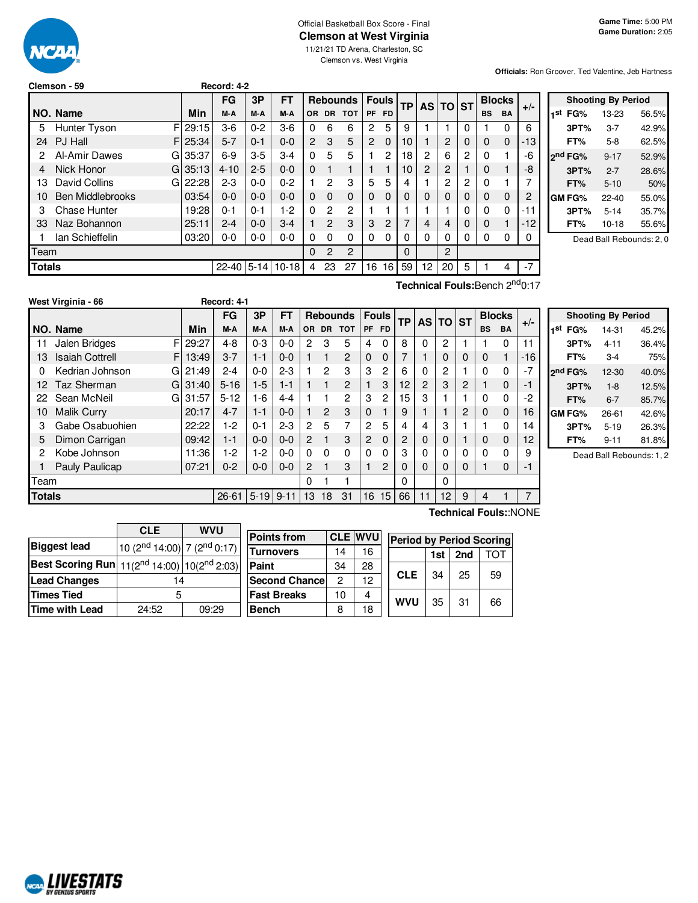# $\overline{U}$

# Official Basketball Box Score - Final **Clemson at West Virginia**

11/21/21 TD Arena, Charleston, SC Clemson vs. West Virginia

**Officials:** Ron Groover, Ted Valentine, Jeb Hartness

|               | Clemson - 59            |    |            | Record: 4-2 |          |           |                |                |                  |                |                |           |                 |                |           |           |               |       |                 |
|---------------|-------------------------|----|------------|-------------|----------|-----------|----------------|----------------|------------------|----------------|----------------|-----------|-----------------|----------------|-----------|-----------|---------------|-------|-----------------|
|               |                         |    |            | <b>FG</b>   | 3Р       | <b>FT</b> |                |                | Rebounds   Fouls |                |                | <b>TP</b> |                 | AS TO          | <b>ST</b> |           | <b>Blocks</b> |       |                 |
|               | I NO. Name              |    | Min        | M-A         | M-A      | M-A       | OR.            | <b>DR</b>      | <b>TOT</b>       | <b>PF</b>      | <b>FD</b>      |           |                 |                |           | <b>BS</b> | <b>BA</b>     | $+/-$ | 1st             |
| 5.            | Hunter Tyson            | FI | 29:15      | $3-6$       | $0 - 2$  | $3-6$     | 0              | 6              | 6                | 2              | 5              | 9         |                 |                | 0         |           | 0             | 6     |                 |
| 24            | PJ Hall                 |    | F125:34    | $5 - 7$     | $0 - 1$  | $0-0$     | $\overline{2}$ | 3              | 5                | $\overline{2}$ | $\overline{0}$ | 10        |                 | 2              | 0         | $\Omega$  | $\mathbf 0$   | $-13$ |                 |
|               | Al-Amir Dawes           | G  | 35:37      | $6-9$       | $3-5$    | $3-4$     | $\Omega$       | 5              | 5                |                | 2              | 18        | 2               | 6              | 2         | $\Omega$  |               | -6    | <sub>2</sub> nd |
| 4             | Nick Honor              |    | $GI$ 35:13 | $4 - 10$    | $2 - 5$  | $0 - 0$   | $\Omega$       |                |                  |                |                | 10        | 2               | 2              |           | $\Omega$  |               | -8    |                 |
| IЗ            | David Collins           | G  | 22:28      | $2 - 3$     | $0 - 0$  | $0 - 2$   |                | 2              | 3                | 5              | 5              | 4         |                 | 2              | 2         | 0         |               | 7     |                 |
| 10            | <b>Ben Middlebrooks</b> |    | 03:54      | $0 - 0$     | $0 - 0$  | $0 - 0$   | $\Omega$       | $\Omega$       | $\Omega$         | 0              | 0              | 0         | 0               | $\Omega$       | 0         | $\Omega$  | 0             | 2     | <b>GM</b>       |
| 3             | <b>Chase Hunter</b>     |    | 19:28      | $0 - 1$     | $0 - 1$  | 1-2       | $\Omega$       | 2              | 2                |                |                |           |                 |                | ი         | 0         | $\Omega$      | -11   |                 |
| 33            | Naz Bohannon            |    | 25:11      | $2 - 4$     | $0 - 0$  | $3 - 4$   |                | $\overline{2}$ | 3                | 3              | $\overline{2}$ | 7         | 4               | $\overline{4}$ | 0         | $\Omega$  |               | $-12$ |                 |
|               | lan Schieffelin         |    | 03:20      | $0 - 0$     | $0-0$    | $0 - 0$   | 0              | $\Omega$       | 0                | $\Omega$       | 0              | 0         | 0               | 0              | 0         | $\Omega$  | 0             | 0     |                 |
| Team          |                         |    |            |             |          |           | $\Omega$       | 2              | $\overline{2}$   |                |                | $\Omega$  |                 | $\mathbf{2}$   |           |           |               |       |                 |
| <b>Totals</b> |                         |    |            | $22 - 40$   | $5 - 14$ | $10 - 18$ | 4              | 23             | 27               | 16             | 16             | 59        | 12 <sup>2</sup> | 20             | 5         |           | 4             | $-7$  |                 |

| <b>Shooting By Period</b> |              |           |       |  |  |  |  |  |  |  |
|---------------------------|--------------|-----------|-------|--|--|--|--|--|--|--|
| 1st                       | FG%          | 13-23     | 56.5% |  |  |  |  |  |  |  |
|                           | 3PT%         | $3 - 7$   | 42.9% |  |  |  |  |  |  |  |
|                           | FT%          | $5-8$     | 62.5% |  |  |  |  |  |  |  |
|                           | 2nd FG%      | $9 - 17$  | 52.9% |  |  |  |  |  |  |  |
|                           | 3PT%         | $2 - 7$   | 28.6% |  |  |  |  |  |  |  |
|                           | FT%          | $5 - 10$  | 50%   |  |  |  |  |  |  |  |
|                           | <b>GMFG%</b> | $22 - 40$ | 55.0% |  |  |  |  |  |  |  |
|                           | 3PT%         | $5 - 14$  | 35.7% |  |  |  |  |  |  |  |
|                           | FT%          | $10 - 18$ | 55.6% |  |  |  |  |  |  |  |

Dead Ball Rebounds: 2, 0

|               | West Virginia - 66          |       | Record: 4-1    |         |           |                |              |                 |                |                |                |    |          |   |           |               |                       |                |
|---------------|-----------------------------|-------|----------------|---------|-----------|----------------|--------------|-----------------|----------------|----------------|----------------|----|----------|---|-----------|---------------|-----------------------|----------------|
|               |                             |       | <b>FG</b>      | 3P      | <b>FT</b> |                |              | <b>Rebounds</b> |                | <b>Fouls</b>   | <b>TP</b>      |    | AS TO ST |   |           | <b>Blocks</b> |                       |                |
|               | NO. Name                    | Min   | M-A            | M-A     | M-A       | OR.            | <b>DR</b>    | <b>TOT</b>      | <b>PF</b>      | <b>FD</b>      |                |    |          |   | <b>BS</b> | <b>BA</b>     | $+/-$                 | 1st            |
| 11            | F<br>Jalen Bridges          | 29:27 | $4 - 8$        | $0 - 3$ | $0 - 0$   | $\mathbf{2}$   | 3            | 5               | 4              | $\Omega$       | 8              | 0  | 2        |   |           | $\Omega$      | 11                    |                |
| 13            | <b>Isaiah Cottrell</b><br>F | 13:49 | $3 - 7$        | $1 - 1$ | $0 - 0$   |                | 1            | 2               | $\mathbf 0$    | 0              |                |    | 0        | 0 | 0         |               | -16                   |                |
| 0             | Kedrian Johnson<br>G        | 21:49 | $2 - 4$        | $0 - 0$ | $2 - 3$   |                | 2            | 3               | 3              | 2              | 6              | 0  | 2        |   | 0         | $\Omega$      | $-7$                  | <sub>2nc</sub> |
| 12            | Taz Sherman<br>G            | 31:40 | $5 - 16$       | $1-5$   | $1 - 1$   |                | 1            | 2               |                | 3              | 12             | 2  | 3        | 2 |           | $\Omega$      | -1                    |                |
| 22            | Sean McNeil<br>G            | 31:57 | $5 - 12$       | 1-6     | $4 - 4$   |                |              | $\overline{2}$  | 3              | $\mathbf{2}$   | 15             | 3  |          |   | 0         | $\Omega$      | $-2$                  |                |
| 10            | <b>Malik Curry</b>          | 20:17 | $4 - 7$        | 1-1     | $0 - 0$   |                | 2            | 3               | $\mathbf 0$    |                | 9              |    |          | 2 | 0         | $\Omega$      | 16                    | GN             |
| 3             | Gabe Osabuohien             | 22:22 | $1-2$          | $0 - 1$ | $2 - 3$   | $\overline{2}$ | 5            | 7               | $\overline{c}$ | 5              | 4              | 4  | 3        |   |           | $\Omega$      | 14                    |                |
| 5             | Dimon Carrigan              | 09:42 | $1 - 1$        | $0 - 0$ | $0 - 0$   | $\overline{c}$ | 1            | 3               | $\overline{2}$ | $\Omega$       | $\overline{c}$ | 0  | 0        |   | 0         | $\Omega$      | 12                    |                |
| 2             | Kobe Johnson                | 11:36 | $1-2$          | 1-2     | $0 - 0$   | 0              | $\mathbf{0}$ | 0               | $\Omega$       | 0              | 3              | 0  | 0        | 0 | 0         | $\Omega$      | 9                     |                |
|               | Pauly Paulicap              | 07:21 | $0 - 2$        | $0 - 0$ | $0 - 0$   | 2              |              | 3               |                | $\overline{2}$ | 0              | 0  | 0        | 0 |           | $\Omega$      | -1                    |                |
| Team          |                             |       |                |         |           | 0              |              |                 |                |                | $\Omega$       |    | 0        |   |           |               |                       |                |
| <b>Totals</b> |                             |       | $26 - 61$ 5-19 |         | $9 - 11$  | 13             | 18           | 31              | 16             | 15             | 66             | 11 | 12       | 9 | 4         |               | 7                     |                |
|               |                             |       |                |         |           |                |              |                 |                |                |                |    |          |   |           |               | Technical Fouls::NONE |                |

**Technical Fouls:**Bench 2<sup>nd</sup>0:17

|     | <b>Shooting By Period</b> |           |       |  |  |  |  |  |  |  |
|-----|---------------------------|-----------|-------|--|--|--|--|--|--|--|
| 1st | FG%                       | 14-31     | 45.2% |  |  |  |  |  |  |  |
|     | 3PT%                      | 4-11      | 36.4% |  |  |  |  |  |  |  |
|     | FT%                       | $3-4$     | 75%   |  |  |  |  |  |  |  |
|     | ond FG%                   | $12 - 30$ | 40.0% |  |  |  |  |  |  |  |
|     | 3PT%                      | $1 - 8$   | 12.5% |  |  |  |  |  |  |  |
|     | FT%                       | $6 - 7$   | 85.7% |  |  |  |  |  |  |  |
|     | GM FG%                    | $26 - 61$ | 42.6% |  |  |  |  |  |  |  |
|     | 3PT%                      | $5 - 19$  | 26.3% |  |  |  |  |  |  |  |
|     | FT%                       | $9 - 11$  | 81.8% |  |  |  |  |  |  |  |

Dead Ball Rebounds: 1, 2

|                                                                            | <b>CLE</b>                                  | <b>WVU</b> |                       |                |                |                                 |     |     |     |
|----------------------------------------------------------------------------|---------------------------------------------|------------|-----------------------|----------------|----------------|---------------------------------|-----|-----|-----|
|                                                                            |                                             |            | <b>Points from</b>    |                | <b>CLE WVU</b> | <b>Period by Period Scoring</b> |     |     |     |
| <b>Biggest lead</b>                                                        | $10(2^{nd} 14:00)$ 7 (2 <sup>nd</sup> 0:17) |            | <b>Turnovers</b>      | 14             | 16             |                                 | 1st | 2nd | тот |
| <b>Best Scoring Run</b> 11(2 <sup>nd</sup> 14:00) 10(2 <sup>nd</sup> 2:03) |                                             |            | <b>Paint</b>          | 34             | 28             |                                 |     |     |     |
| <b>Lead Changes</b>                                                        | 14                                          |            | <b>Second Chancel</b> | $\overline{c}$ | 12             | <b>CLE</b>                      | 34  | 25  | 59  |
| <b>Times Tied</b>                                                          |                                             |            | <b>Fast Breaks</b>    | 10             | 4              | <b>WVU</b>                      | 35  | -31 | 66  |
| <b>Time with Lead</b>                                                      | 24:52                                       | 09:29      | <b>Bench</b>          | 8              | 18             |                                 |     |     |     |

**NORD LIVESTATS**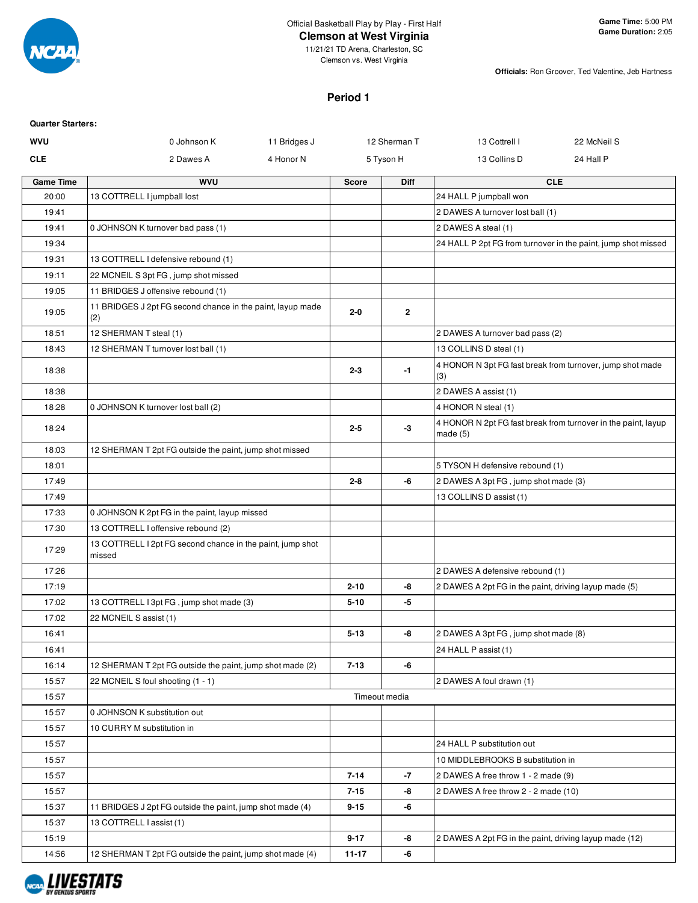

11/21/21 TD Arena, Charleston, SC Clemson vs. West Virginia

**Officials:** Ron Groover, Ted Valentine, Jeb Hartness

## **Period 1**

| <b>Quarter Starters:</b> |                                                                      |              |              |               |                                                        |                                                               |
|--------------------------|----------------------------------------------------------------------|--------------|--------------|---------------|--------------------------------------------------------|---------------------------------------------------------------|
| <b>WVU</b>               | 0 Johnson K                                                          | 11 Bridges J |              | 12 Sherman T  | 13 Cottrell I                                          | 22 McNeil S                                                   |
| <b>CLE</b>               | 2 Dawes A                                                            | 4 Honor N    |              | 5 Tyson H     | 13 Collins D                                           | 24 Hall P                                                     |
| <b>Game Time</b>         | <b>WVU</b>                                                           |              | <b>Score</b> | Diff          |                                                        | <b>CLE</b>                                                    |
| 20:00                    | 13 COTTRELL I jumpball lost                                          |              |              |               | 24 HALL P jumpball won                                 |                                                               |
| 19:41                    |                                                                      |              |              |               | 2 DAWES A turnover lost ball (1)                       |                                                               |
| 19:41                    | 0 JOHNSON K turnover bad pass (1)                                    |              |              |               | 2 DAWES A steal (1)                                    |                                                               |
| 19:34                    |                                                                      |              |              |               |                                                        | 24 HALL P 2pt FG from turnover in the paint, jump shot missed |
| 19:31                    | 13 COTTRELL I defensive rebound (1)                                  |              |              |               |                                                        |                                                               |
| 19:11                    | 22 MCNEIL S 3pt FG, jump shot missed                                 |              |              |               |                                                        |                                                               |
| 19:05                    | 11 BRIDGES J offensive rebound (1)                                   |              |              |               |                                                        |                                                               |
| 19:05                    | 11 BRIDGES J 2pt FG second chance in the paint, layup made<br>(2)    |              | $2 - 0$      | $\mathbf{2}$  |                                                        |                                                               |
| 18:51                    | 12 SHERMAN T steal (1)                                               |              |              |               | 2 DAWES A turnover bad pass (2)                        |                                                               |
| 18:43                    | 12 SHERMAN T turnover lost ball (1)                                  |              |              |               | 13 COLLINS D steal (1)                                 |                                                               |
| 18:38                    |                                                                      |              | $2 - 3$      | $-1$          | (3)                                                    | 4 HONOR N 3pt FG fast break from turnover, jump shot made     |
| 18:38                    |                                                                      |              |              |               | 2 DAWES A assist (1)                                   |                                                               |
| 18:28                    | 0 JOHNSON K turnover lost ball (2)                                   |              |              |               | 4 HONOR N steal (1)                                    |                                                               |
| 18:24                    |                                                                      |              | $2 - 5$      | -3            | made(5)                                                | 4 HONOR N 2pt FG fast break from turnover in the paint, layup |
| 18:03                    | 12 SHERMAN T 2pt FG outside the paint, jump shot missed              |              |              |               |                                                        |                                                               |
| 18:01                    |                                                                      |              |              |               | 5 TYSON H defensive rebound (1)                        |                                                               |
| 17:49                    |                                                                      |              | $2 - 8$      | -6            | 2 DAWES A 3pt FG, jump shot made (3)                   |                                                               |
| 17:49                    |                                                                      |              |              |               | 13 COLLINS D assist (1)                                |                                                               |
| 17:33                    | 0 JOHNSON K 2pt FG in the paint, layup missed                        |              |              |               |                                                        |                                                               |
| 17:30                    | 13 COTTRELL I offensive rebound (2)                                  |              |              |               |                                                        |                                                               |
| 17:29                    | 13 COTTRELL I 2pt FG second chance in the paint, jump shot<br>missed |              |              |               |                                                        |                                                               |
| 17:26                    |                                                                      |              |              |               | 2 DAWES A defensive rebound (1)                        |                                                               |
| 17:19                    |                                                                      |              | $2 - 10$     | -8            | 2 DAWES A 2pt FG in the paint, driving layup made (5)  |                                                               |
| 17:02                    | 13 COTTRELL I 3pt FG, jump shot made (3)                             |              | $5 - 10$     | -5            |                                                        |                                                               |
| 17:02                    | 22 MCNEIL S assist (1)                                               |              |              |               |                                                        |                                                               |
| 16:41                    |                                                                      |              | $5-13$       | -8            | 2 DAWES A 3pt FG, jump shot made (8)                   |                                                               |
| 16:41                    |                                                                      |              |              |               | 24 HALL P assist (1)                                   |                                                               |
| 16:14                    | 12 SHERMAN T 2pt FG outside the paint, jump shot made (2)            |              | $7 - 13$     | -6            |                                                        |                                                               |
| 15:57                    | 22 MCNEIL S foul shooting (1 - 1)                                    |              |              |               | 2 DAWES A foul drawn (1)                               |                                                               |
| 15:57                    |                                                                      |              |              | Timeout media |                                                        |                                                               |
| 15:57                    | 0 JOHNSON K substitution out                                         |              |              |               |                                                        |                                                               |
| 15:57                    | 10 CURRY M substitution in                                           |              |              |               |                                                        |                                                               |
| 15:57                    |                                                                      |              |              |               | 24 HALL P substitution out                             |                                                               |
| 15:57                    |                                                                      |              |              |               | 10 MIDDLEBROOKS B substitution in                      |                                                               |
| 15:57                    |                                                                      |              | $7 - 14$     | $-7$          | 2 DAWES A free throw 1 - 2 made (9)                    |                                                               |
| 15:57                    |                                                                      |              | $7 - 15$     | -8            | 2 DAWES A free throw 2 - 2 made (10)                   |                                                               |
| 15:37                    | 11 BRIDGES J 2pt FG outside the paint, jump shot made (4)            |              | $9 - 15$     | -6            |                                                        |                                                               |
| 15:37                    | 13 COTTRELL I assist (1)                                             |              |              |               |                                                        |                                                               |
| 15:19                    |                                                                      |              | $9 - 17$     | -8            | 2 DAWES A 2pt FG in the paint, driving layup made (12) |                                                               |
| 14:56                    | 12 SHERMAN T 2pt FG outside the paint, jump shot made (4)            |              | $11 - 17$    | -6            |                                                        |                                                               |

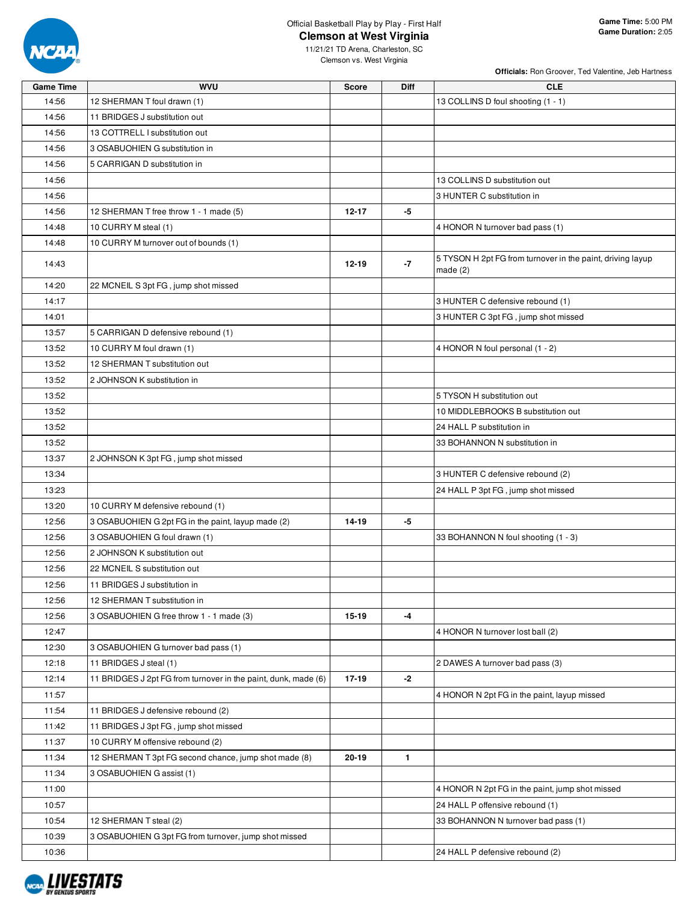

**Officials:** Ron Groover, Ted Valentine, Jeb Hartness

| <b>Game Time</b> | <b>WVU</b>                                                     | <b>Score</b> | <b>Diff</b>  | <b>CLE</b>                                                               |
|------------------|----------------------------------------------------------------|--------------|--------------|--------------------------------------------------------------------------|
| 14:56            | 12 SHERMAN T foul drawn (1)                                    |              |              | 13 COLLINS D foul shooting (1 - 1)                                       |
| 14:56            | 11 BRIDGES J substitution out                                  |              |              |                                                                          |
| 14:56            | 13 COTTRELL I substitution out                                 |              |              |                                                                          |
| 14:56            | 3 OSABUOHIEN G substitution in                                 |              |              |                                                                          |
| 14:56            | 5 CARRIGAN D substitution in                                   |              |              |                                                                          |
| 14:56            |                                                                |              |              | 13 COLLINS D substitution out                                            |
| 14:56            |                                                                |              |              | 3 HUNTER C substitution in                                               |
| 14:56            | 12 SHERMAN T free throw 1 - 1 made (5)                         | $12 - 17$    | -5           |                                                                          |
| 14:48            | 10 CURRY M steal (1)                                           |              |              | 4 HONOR N turnover bad pass (1)                                          |
| 14:48            | 10 CURRY M turnover out of bounds (1)                          |              |              |                                                                          |
| 14:43            |                                                                | $12 - 19$    | $-7$         | 5 TYSON H 2pt FG from turnover in the paint, driving layup<br>made $(2)$ |
| 14:20            | 22 MCNEIL S 3pt FG, jump shot missed                           |              |              |                                                                          |
| 14:17            |                                                                |              |              | 3 HUNTER C defensive rebound (1)                                         |
| 14:01            |                                                                |              |              | 3 HUNTER C 3pt FG, jump shot missed                                      |
| 13:57            | 5 CARRIGAN D defensive rebound (1)                             |              |              |                                                                          |
| 13:52            | 10 CURRY M foul drawn (1)                                      |              |              | 4 HONOR N foul personal (1 - 2)                                          |
| 13:52            | 12 SHERMAN T substitution out                                  |              |              |                                                                          |
| 13:52            | 2 JOHNSON K substitution in                                    |              |              |                                                                          |
| 13:52            |                                                                |              |              | 5 TYSON H substitution out                                               |
| 13:52            |                                                                |              |              | 10 MIDDLEBROOKS B substitution out                                       |
| 13:52            |                                                                |              |              | 24 HALL P substitution in                                                |
| 13:52            |                                                                |              |              | 33 BOHANNON N substitution in                                            |
| 13:37            | 2 JOHNSON K 3pt FG, jump shot missed                           |              |              |                                                                          |
| 13:34            |                                                                |              |              | 3 HUNTER C defensive rebound (2)                                         |
| 13:23            |                                                                |              |              | 24 HALL P 3pt FG, jump shot missed                                       |
| 13:20            | 10 CURRY M defensive rebound (1)                               |              |              |                                                                          |
| 12:56            | 3 OSABUOHIEN G 2pt FG in the paint, layup made (2)             | 14-19        | -5           |                                                                          |
| 12:56            | 3 OSABUOHIEN G foul drawn (1)                                  |              |              | 33 BOHANNON N foul shooting (1 - 3)                                      |
| 12:56            | 2 JOHNSON K substitution out                                   |              |              |                                                                          |
| 12:56            | 22 MCNEIL S substitution out                                   |              |              |                                                                          |
| 12:56            | 11 BRIDGES J substitution in                                   |              |              |                                                                          |
| 12:56            | 12 SHERMAN T substitution in                                   |              |              |                                                                          |
| 12:56            | 3 OSABUOHIEN G free throw 1 - 1 made (3)                       | $15-19$      | -4           |                                                                          |
| 12:47            |                                                                |              |              | 4 HONOR N turnover lost ball (2)                                         |
| 12:30            | 3 OSABUOHIEN G turnover bad pass (1)                           |              |              |                                                                          |
| 12:18            | 11 BRIDGES J steal (1)                                         |              |              | 2 DAWES A turnover bad pass (3)                                          |
| 12:14            | 11 BRIDGES J 2pt FG from turnover in the paint, dunk, made (6) | 17-19        | $-2$         |                                                                          |
| 11:57            |                                                                |              |              | 4 HONOR N 2pt FG in the paint, layup missed                              |
| 11:54            | 11 BRIDGES J defensive rebound (2)                             |              |              |                                                                          |
| 11:42            | 11 BRIDGES J 3pt FG, jump shot missed                          |              |              |                                                                          |
| 11:37            | 10 CURRY M offensive rebound (2)                               |              |              |                                                                          |
| 11:34            | 12 SHERMAN T 3pt FG second chance, jump shot made (8)          | 20-19        | $\mathbf{1}$ |                                                                          |
| 11:34            | 3 OSABUOHIEN G assist (1)                                      |              |              |                                                                          |
| 11:00            |                                                                |              |              | 4 HONOR N 2pt FG in the paint, jump shot missed                          |
| 10:57            |                                                                |              |              | 24 HALL P offensive rebound (1)                                          |
| 10:54            | 12 SHERMAN T steal (2)                                         |              |              | 33 BOHANNON N turnover bad pass (1)                                      |
| 10:39            | 3 OSABUOHIEN G 3pt FG from turnover, jump shot missed          |              |              |                                                                          |
| 10:36            |                                                                |              |              | 24 HALL P defensive rebound (2)                                          |

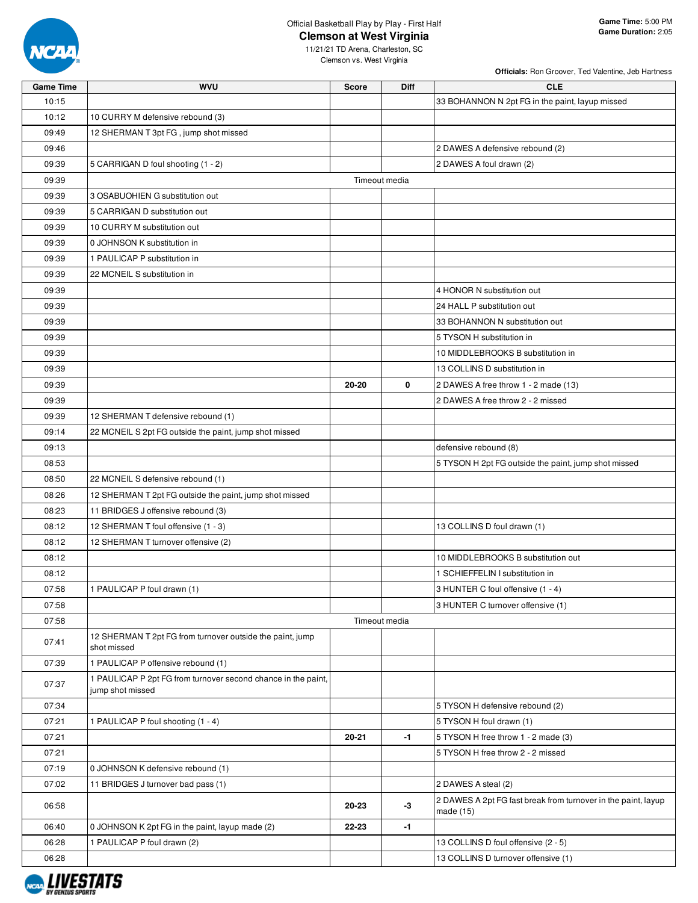

**Officials:** Ron Groover, Ted Valentine, Jeb Hartness

| <b>Game Time</b> | <b>WVU</b>                                                                        | <b>Score</b>  | Diff | <b>CLE</b>                                                                 |
|------------------|-----------------------------------------------------------------------------------|---------------|------|----------------------------------------------------------------------------|
| 10:15            |                                                                                   |               |      | 33 BOHANNON N 2pt FG in the paint, layup missed                            |
| 10:12            | 10 CURRY M defensive rebound (3)                                                  |               |      |                                                                            |
| 09:49            | 12 SHERMAN T 3pt FG, jump shot missed                                             |               |      |                                                                            |
| 09:46            |                                                                                   |               |      | 2 DAWES A defensive rebound (2)                                            |
| 09:39            | 5 CARRIGAN D foul shooting (1 - 2)                                                |               |      | 2 DAWES A foul drawn (2)                                                   |
| 09:39            |                                                                                   | Timeout media |      |                                                                            |
| 09:39            | 3 OSABUOHIEN G substitution out                                                   |               |      |                                                                            |
| 09:39            | 5 CARRIGAN D substitution out                                                     |               |      |                                                                            |
| 09:39            | 10 CURRY M substitution out                                                       |               |      |                                                                            |
| 09:39            | 0 JOHNSON K substitution in                                                       |               |      |                                                                            |
| 09:39            | 1 PAULICAP P substitution in                                                      |               |      |                                                                            |
| 09:39            | 22 MCNEIL S substitution in                                                       |               |      |                                                                            |
| 09:39            |                                                                                   |               |      | 4 HONOR N substitution out                                                 |
| 09:39            |                                                                                   |               |      | 24 HALL P substitution out                                                 |
| 09:39            |                                                                                   |               |      | 33 BOHANNON N substitution out                                             |
| 09:39            |                                                                                   |               |      | 5 TYSON H substitution in                                                  |
| 09:39            |                                                                                   |               |      | 10 MIDDLEBROOKS B substitution in                                          |
| 09:39            |                                                                                   |               |      | 13 COLLINS D substitution in                                               |
| 09:39            |                                                                                   | 20-20         | 0    | 2 DAWES A free throw 1 - 2 made (13)                                       |
| 09:39            |                                                                                   |               |      | 2 DAWES A free throw 2 - 2 missed                                          |
| 09:39            | 12 SHERMAN T defensive rebound (1)                                                |               |      |                                                                            |
| 09:14            | 22 MCNEIL S 2pt FG outside the paint, jump shot missed                            |               |      |                                                                            |
| 09:13            |                                                                                   |               |      | defensive rebound (8)                                                      |
| 08:53            |                                                                                   |               |      | 5 TYSON H 2pt FG outside the paint, jump shot missed                       |
| 08:50            | 22 MCNEIL S defensive rebound (1)                                                 |               |      |                                                                            |
| 08:26            | 12 SHERMAN T 2pt FG outside the paint, jump shot missed                           |               |      |                                                                            |
| 08:23            | 11 BRIDGES J offensive rebound (3)                                                |               |      |                                                                            |
| 08:12            | 12 SHERMAN T foul offensive (1 - 3)                                               |               |      | 13 COLLINS D foul drawn (1)                                                |
| 08:12            | 12 SHERMAN T turnover offensive (2)                                               |               |      |                                                                            |
| 08:12            |                                                                                   |               |      | 10 MIDDLEBROOKS B substitution out                                         |
| 08:12            |                                                                                   |               |      | 1 SCHIEFFELIN I substitution in                                            |
| 07:58            | 1 PAULICAP P foul drawn (1)                                                       |               |      | 3 HUNTER C foul offensive (1 - 4)                                          |
| 07:58            |                                                                                   |               |      | 3 HUNTER C turnover offensive (1)                                          |
| 07:58            |                                                                                   | Timeout media |      |                                                                            |
| 07:41            | 12 SHERMAN T 2pt FG from turnover outside the paint, jump<br>shot missed          |               |      |                                                                            |
| 07:39            | 1 PAULICAP P offensive rebound (1)                                                |               |      |                                                                            |
| 07:37            | 1 PAULICAP P 2pt FG from turnover second chance in the paint,<br>jump shot missed |               |      |                                                                            |
| 07:34            |                                                                                   |               |      | 5 TYSON H defensive rebound (2)                                            |
| 07:21            | 1 PAULICAP P foul shooting (1 - 4)                                                |               |      | 5 TYSON H foul drawn (1)                                                   |
| 07:21            |                                                                                   | 20-21         | $-1$ | 5 TYSON H free throw 1 - 2 made (3)                                        |
| 07:21            |                                                                                   |               |      | 5 TYSON H free throw 2 - 2 missed                                          |
| 07:19            | 0 JOHNSON K defensive rebound (1)                                                 |               |      |                                                                            |
| 07:02            | 11 BRIDGES J turnover bad pass (1)                                                |               |      | 2 DAWES A steal (2)                                                        |
| 06:58            |                                                                                   | 20-23         | $-3$ | 2 DAWES A 2pt FG fast break from turnover in the paint, layup<br>made (15) |
| 06:40            | 0 JOHNSON K 2pt FG in the paint, layup made (2)                                   | 22-23         | $-1$ |                                                                            |
| 06:28            | 1 PAULICAP P foul drawn (2)                                                       |               |      | 13 COLLINS D foul offensive (2 - 5)                                        |
| 06:28            |                                                                                   |               |      | 13 COLLINS D turnover offensive (1)                                        |

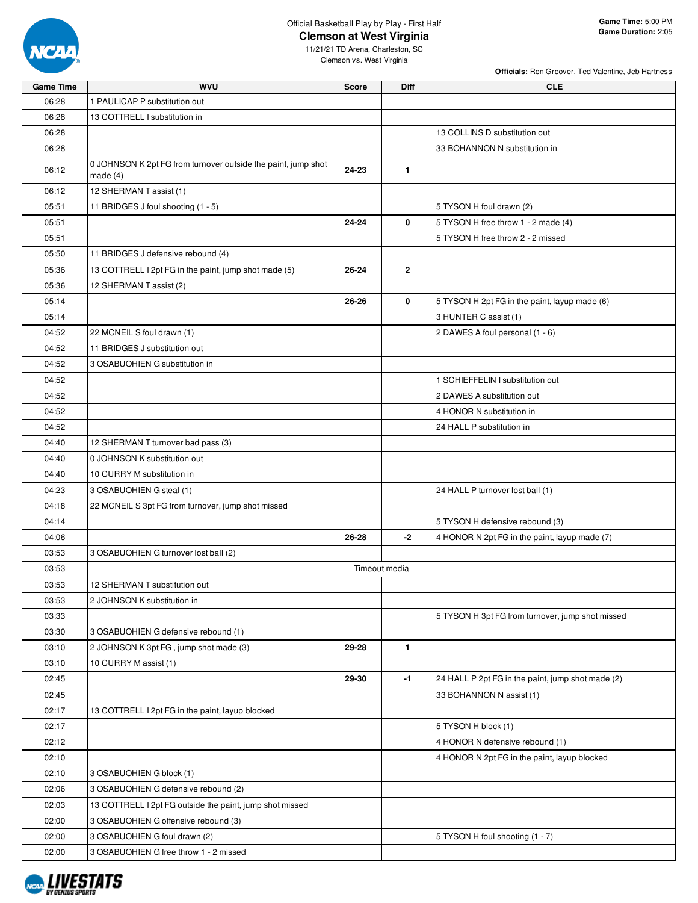

**Officials:** Ron Groover, Ted Valentine, Jeb Hartness

| <b>Game Time</b> | <b>WVU</b>                                                                  | <b>Score</b> | <b>Diff</b>    | <b>CLE</b>                                        |
|------------------|-----------------------------------------------------------------------------|--------------|----------------|---------------------------------------------------|
| 06:28            | 1 PAULICAP P substitution out                                               |              |                |                                                   |
| 06:28            | 13 COTTRELL I substitution in                                               |              |                |                                                   |
| 06:28            |                                                                             |              |                | 13 COLLINS D substitution out                     |
| 06:28            |                                                                             |              |                | 33 BOHANNON N substitution in                     |
| 06:12            | 0 JOHNSON K 2pt FG from turnover outside the paint, jump shot<br>made $(4)$ | 24-23        | $\mathbf{1}$   |                                                   |
| 06:12            | 12 SHERMAN T assist (1)                                                     |              |                |                                                   |
| 05:51            | 11 BRIDGES J foul shooting (1 - 5)                                          |              |                | 5 TYSON H foul drawn (2)                          |
| 05:51            |                                                                             | $24 - 24$    | 0              | 5 TYSON H free throw 1 - 2 made (4)               |
| 05:51            |                                                                             |              |                | 5 TYSON H free throw 2 - 2 missed                 |
| 05:50            | 11 BRIDGES J defensive rebound (4)                                          |              |                |                                                   |
| 05:36            | 13 COTTRELL I 2pt FG in the paint, jump shot made (5)                       | $26 - 24$    | $\overline{2}$ |                                                   |
| 05:36            | 12 SHERMAN T assist (2)                                                     |              |                |                                                   |
| 05:14            |                                                                             | 26-26        | 0              | 5 TYSON H 2pt FG in the paint, layup made (6)     |
| 05:14            |                                                                             |              |                | 3 HUNTER C assist (1)                             |
| 04:52            | 22 MCNEIL S foul drawn (1)                                                  |              |                | 2 DAWES A foul personal (1 - 6)                   |
| 04:52            | 11 BRIDGES J substitution out                                               |              |                |                                                   |
| 04:52            | 3 OSABUOHIEN G substitution in                                              |              |                |                                                   |
| 04:52            |                                                                             |              |                | 1 SCHIEFFELIN I substitution out                  |
| 04:52            |                                                                             |              |                | 2 DAWES A substitution out                        |
| 04:52            |                                                                             |              |                | 4 HONOR N substitution in                         |
| 04:52            |                                                                             |              |                | 24 HALL P substitution in                         |
| 04:40            | 12 SHERMAN T turnover bad pass (3)                                          |              |                |                                                   |
| 04:40            | 0 JOHNSON K substitution out                                                |              |                |                                                   |
| 04:40            | 10 CURRY M substitution in                                                  |              |                |                                                   |
| 04:23            | 3 OSABUOHIEN G steal (1)                                                    |              |                | 24 HALL P turnover lost ball (1)                  |
| 04:18            | 22 MCNEIL S 3pt FG from turnover, jump shot missed                          |              |                |                                                   |
| 04:14            |                                                                             |              |                | 5 TYSON H defensive rebound (3)                   |
| 04:06            |                                                                             | 26-28        | $-2$           | 4 HONOR N 2pt FG in the paint, layup made (7)     |
| 03:53            | 3 OSABUOHIEN G turnover lost ball (2)                                       |              |                |                                                   |
| 03:53            |                                                                             |              | Timeout media  |                                                   |
| 03:53            | 12 SHERMAN T substitution out                                               |              |                |                                                   |
| 03:53            | 2 JOHNSON K substitution in                                                 |              |                |                                                   |
| 03:33            |                                                                             |              |                | 5 TYSON H 3pt FG from turnover, jump shot missed  |
| 03:30            | 3 OSABUOHIEN G defensive rebound (1)                                        |              |                |                                                   |
| 03:10            | 2 JOHNSON K 3pt FG, jump shot made (3)                                      | 29-28        | 1              |                                                   |
| 03:10            | 10 CURRY M assist (1)                                                       |              |                |                                                   |
| 02:45            |                                                                             | 29-30        | $-1$           | 24 HALL P 2pt FG in the paint, jump shot made (2) |
| 02:45            |                                                                             |              |                | 33 BOHANNON N assist (1)                          |
| 02:17            | 13 COTTRELL I 2pt FG in the paint, layup blocked                            |              |                |                                                   |
| 02:17            |                                                                             |              |                | 5 TYSON H block (1)                               |
| 02:12            |                                                                             |              |                | 4 HONOR N defensive rebound (1)                   |
|                  |                                                                             |              |                |                                                   |
| 02:10            |                                                                             |              |                | 4 HONOR N 2pt FG in the paint, layup blocked      |
| 02:10            | 3 OSABUOHIEN G block (1)                                                    |              |                |                                                   |
| 02:06            | 3 OSABUOHIEN G defensive rebound (2)                                        |              |                |                                                   |
| 02:03            | 13 COTTRELL I 2pt FG outside the paint, jump shot missed                    |              |                |                                                   |
| 02:00            | 3 OSABUOHIEN G offensive rebound (3)                                        |              |                |                                                   |
| 02:00            | 3 OSABUOHIEN G foul drawn (2)                                               |              |                | 5 TYSON H foul shooting (1 - 7)                   |
| 02:00            | 3 OSABUOHIEN G free throw 1 - 2 missed                                      |              |                |                                                   |

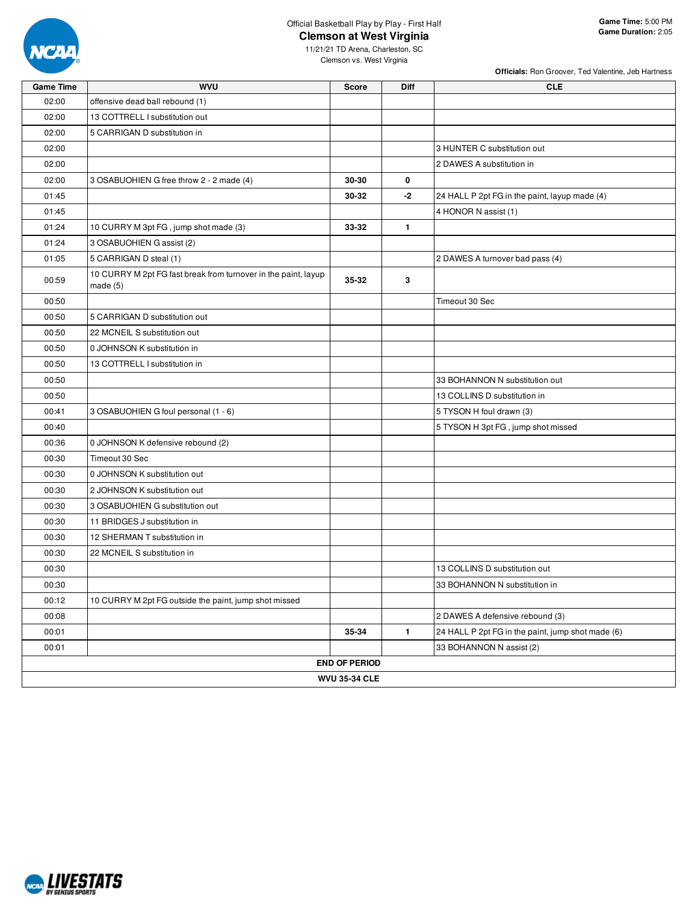

**Officials:** Ron Groover, Ted Valentine, Jeb Hartness

| <b>Game Time</b> | <b>WVU</b>                                                                   | <b>Score</b>         | <b>Diff</b>  | <b>CLE</b>                                        |  |  |  |  |  |  |
|------------------|------------------------------------------------------------------------------|----------------------|--------------|---------------------------------------------------|--|--|--|--|--|--|
| 02:00            | offensive dead ball rebound (1)                                              |                      |              |                                                   |  |  |  |  |  |  |
| 02:00            | 13 COTTRELL I substitution out                                               |                      |              |                                                   |  |  |  |  |  |  |
| 02:00            | 5 CARRIGAN D substitution in                                                 |                      |              |                                                   |  |  |  |  |  |  |
| 02:00            |                                                                              |                      |              | 3 HUNTER C substitution out                       |  |  |  |  |  |  |
| 02:00            |                                                                              |                      |              | 2 DAWES A substitution in                         |  |  |  |  |  |  |
| 02:00            | 3 OSABUOHIEN G free throw 2 - 2 made (4)                                     | 30-30                | 0            |                                                   |  |  |  |  |  |  |
| 01:45            |                                                                              | 30-32                | -2           | 24 HALL P 2pt FG in the paint, layup made (4)     |  |  |  |  |  |  |
| 01:45            |                                                                              |                      |              | 4 HONOR N assist (1)                              |  |  |  |  |  |  |
| 01:24            | 10 CURRY M 3pt FG, jump shot made (3)                                        | 33-32                | $\mathbf{1}$ |                                                   |  |  |  |  |  |  |
| 01:24            | 3 OSABUOHIEN G assist (2)                                                    |                      |              |                                                   |  |  |  |  |  |  |
| 01:05            | 5 CARRIGAN D steal (1)                                                       |                      |              | 2 DAWES A turnover bad pass (4)                   |  |  |  |  |  |  |
| 00:59            | 10 CURRY M 2pt FG fast break from turnover in the paint, layup<br>made $(5)$ | 35-32                | 3            |                                                   |  |  |  |  |  |  |
| 00:50            |                                                                              |                      |              | Timeout 30 Sec                                    |  |  |  |  |  |  |
| 00:50            | 5 CARRIGAN D substitution out                                                |                      |              |                                                   |  |  |  |  |  |  |
| 00:50            | 22 MCNEIL S substitution out                                                 |                      |              |                                                   |  |  |  |  |  |  |
| 00:50            | 0 JOHNSON K substitution in                                                  |                      |              |                                                   |  |  |  |  |  |  |
| 00:50            | 13 COTTRELL I substitution in                                                |                      |              |                                                   |  |  |  |  |  |  |
| 00:50            |                                                                              |                      |              | 33 BOHANNON N substitution out                    |  |  |  |  |  |  |
| 00:50            |                                                                              |                      |              | 13 COLLINS D substitution in                      |  |  |  |  |  |  |
| 00:41            | 3 OSABUOHIEN G foul personal (1 - 6)                                         |                      |              | 5 TYSON H foul drawn (3)                          |  |  |  |  |  |  |
| 00:40            |                                                                              |                      |              | 5 TYSON H 3pt FG, jump shot missed                |  |  |  |  |  |  |
| 00:36            | 0 JOHNSON K defensive rebound (2)                                            |                      |              |                                                   |  |  |  |  |  |  |
| 00:30            | Timeout 30 Sec                                                               |                      |              |                                                   |  |  |  |  |  |  |
| 00:30            | 0 JOHNSON K substitution out                                                 |                      |              |                                                   |  |  |  |  |  |  |
| 00:30            | 2 JOHNSON K substitution out                                                 |                      |              |                                                   |  |  |  |  |  |  |
| 00:30            | 3 OSABUOHIEN G substitution out                                              |                      |              |                                                   |  |  |  |  |  |  |
| 00:30            | 11 BRIDGES J substitution in                                                 |                      |              |                                                   |  |  |  |  |  |  |
| 00:30            | 12 SHERMAN T substitution in                                                 |                      |              |                                                   |  |  |  |  |  |  |
| 00:30            | 22 MCNEIL S substitution in                                                  |                      |              |                                                   |  |  |  |  |  |  |
| 00:30            |                                                                              |                      |              | 13 COLLINS D substitution out                     |  |  |  |  |  |  |
| 00:30            |                                                                              |                      |              | 33 BOHANNON N substitution in                     |  |  |  |  |  |  |
| 00:12            | 10 CURRY M 2pt FG outside the paint, jump shot missed                        |                      |              |                                                   |  |  |  |  |  |  |
| 00:08            |                                                                              |                      |              | 2 DAWES A defensive rebound (3)                   |  |  |  |  |  |  |
| 00:01            |                                                                              | 35-34                | $\mathbf{1}$ | 24 HALL P 2pt FG in the paint, jump shot made (6) |  |  |  |  |  |  |
| 00:01            |                                                                              |                      |              | 33 BOHANNON N assist (2)                          |  |  |  |  |  |  |
|                  |                                                                              | <b>END OF PERIOD</b> |              |                                                   |  |  |  |  |  |  |
|                  | <b>WVU 35-34 CLE</b>                                                         |                      |              |                                                   |  |  |  |  |  |  |

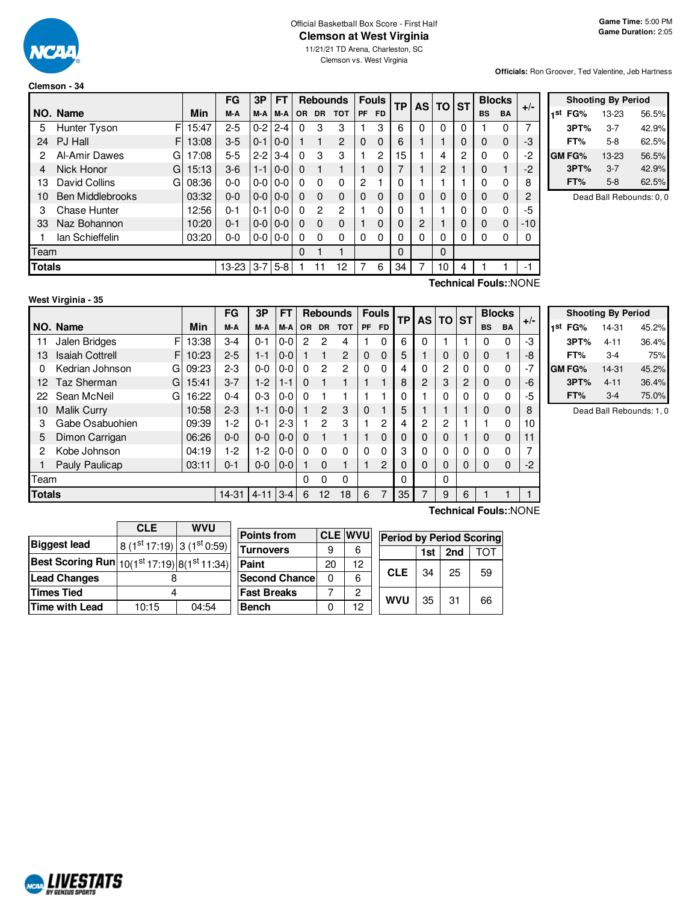

**Clemson - 34**

# Official Basketball Box Score - First Half **Clemson at West Virginia**

11/21/21 TD Arena, Charleston, SC Clemson vs. West Virginia

#### **Officials:** Ron Groover, Ted Valentine, Jeb Hartness

|               |                         |       | FG        | 3P      | FT      |           |           | <b>Rebounds</b> | <b>Fouls</b>   |           | TP | <b>AS</b>      | <b>TO</b>      | <b>ST</b> | <b>Blocks</b> |           | $+/-$ |
|---------------|-------------------------|-------|-----------|---------|---------|-----------|-----------|-----------------|----------------|-----------|----|----------------|----------------|-----------|---------------|-----------|-------|
|               | NO. Name                | Min   | M-A       | M-A     | M-A     | <b>OR</b> | <b>DR</b> | <b>TOT</b>      | <b>PF</b>      | <b>FD</b> |    |                |                |           | <b>BS</b>     | <b>BA</b> |       |
| 5             | F<br>Hunter Tyson       | 15:47 | $2 - 5$   | $0 - 2$ | $2 - 4$ | $\Omega$  | 3         | 3               |                | 3         | 6  | 0              | 0              | 0         |               | 0         | 7     |
| 24            | PJ Hall<br>F            | 13:08 | $3-5$     | $0 - 1$ | $0-0$   |           |           | $\overline{2}$  | 0              | $\Omega$  | 6  |                |                | 0         | $\mathbf 0$   | 0         | -3    |
| 2             | Al-Amir Dawes<br>G      | 17:08 | $5 - 5$   | $2-2$   | $3 - 4$ | $\Omega$  | 3         | 3               |                | 2         | 15 |                | 4              | 2         | 0             | 0         | $-2$  |
| 4             | Nick Honor<br>G         | 15:13 | $3-6$     | $1 - 1$ | $0 - 0$ | $\Omega$  |           |                 |                | 0         | 7  |                | $\overline{2}$ |           | 0             |           | $-2$  |
| 13            | David Collins<br>G      | 08:36 | $0 - 0$   | $0-0$   | $0-0$   | $\Omega$  | $\Omega$  | $\Omega$        | $\overline{c}$ |           | 0  |                |                |           | 0             | 0         | 8     |
| 10            | <b>Ben Middlebrooks</b> | 03:32 | $0 - 0$   | $0 - 0$ | $0 - 0$ | $\Omega$  | $\Omega$  | $\Omega$        | $\Omega$       | $\Omega$  | 0  | 0              | 0              | 0         | 0             | 0         | 2     |
| 3             | <b>Chase Hunter</b>     | 12:56 | $0 - 1$   | $0 - 1$ | $0-0$   | $\Omega$  | 2         | 2               |                | 0         | 0  |                |                | 0         | $\Omega$      | 0         | -5    |
| 33            | Naz Bohannon            | 10:20 | $0 - 1$   | $0-0$   | $0 - 0$ | $\Omega$  | $\Omega$  | $\Omega$        |                | 0         | 0  | $\overline{2}$ |                | 0         | $\Omega$      | 0         | $-10$ |
|               | lan Schieffelin         | 03:20 | $0 - 0$   | $0-0$   | $0-0$   | $\Omega$  | $\Omega$  | $\Omega$        | 0              | 0         | 0  | 0              | $\mathbf 0$    | 0         | 0             | 0         | 0     |
| Team          |                         |       |           |         |         | 0         |           |                 |                |           | 0  |                | 0              |           |               |           |       |
| <b>Totals</b> |                         |       | $13 - 23$ | $3 - 7$ | $5 - 8$ |           | 11        | 12              |                | 6         | 34 | 7              | 10             | 4         |               |           | -1    |

|     | <b>Shooting By Period</b> |           |       |  |  |  |  |  |  |  |  |
|-----|---------------------------|-----------|-------|--|--|--|--|--|--|--|--|
| 1st | FG%                       | 13-23     | 56.5% |  |  |  |  |  |  |  |  |
|     | 3PT%                      | $3 - 7$   | 42.9% |  |  |  |  |  |  |  |  |
|     | FT%                       | $5-8$     | 62.5% |  |  |  |  |  |  |  |  |
|     | GM FG%                    | $13 - 23$ | 56.5% |  |  |  |  |  |  |  |  |
|     | 3PT%                      | $3 - 7$   | 42.9% |  |  |  |  |  |  |  |  |
|     | FT%                       | $5-8$     | 62.5% |  |  |  |  |  |  |  |  |

Dead Ball Rebounds: 0, 0

**West Virginia - 35**

F 13:38  $F$  10:23 G 09:23  $G$  15:41 G 16:22 **NO.** Name Min **FG 3P FT Rebounds Fouls TP AS TO ST**  $\begin{bmatrix} \mathsf{FG} & \mathsf{3P} & \mathsf{FT} \\ \mathsf{M-A} & \mathsf{M-A} & \mathsf{OR} & \mathsf{DR} & \mathsf{TOT} \end{bmatrix}$   $\begin{bmatrix} \mathsf{FO} & \mathsf{FP} \\ \mathsf{PF} & \mathsf{FD} \end{bmatrix}$   $\begin{bmatrix} \mathsf{TS} & \mathsf{DT} \\ \mathsf{AS} & \mathsf{DT} \end{bmatrix}$   $\begin{bmatrix} \mathsf{BlockS} \\ \mathsf{BS} & \mathsf{BA} \end{bmatrix}$  +/-11 Jalen Bridges  $\begin{array}{c|cccccc} \text{F} & 13:38 & 3-4 & 0-1 & 0-0 & 2 & 2 & 4 & 1 & 0 & 6 & 0 & 1 & 1 & 0 & 0 & -3 \end{array}$ 13 Isaiah Cottrell F | 10:23 | 2-5 | 1-1 | 0-0 | 1 | 1 | 2 | 0 0 | 5 | 1 | 0 | 0 | 0 | 1 | -8 0 Kedrian Johnson G 09:23 | 2-3 | 0-0 | 0-0 | 0 2 | 2 | 0 0 | 4 | 0 | 2 | 0 | 0 0 | -7 12 Taz Sherman G| 15:41 | 3-7 | 1-2 | 1-1 | 0 1 1 | 1 | 1 | 8 | 2 | 3 | 2 | 0 0 | -6 22 Sean McNeil G | 16:22 | 0-4 | 0-3 | 0-0 | 0 1 1 | 1 1 | 0 | 1 | 0 | 0 | 0 0 | -5 10 Malik Curry 10:58 2-3 1-1 0-0 1 2 3 0 1 5 1 1 1 0 0 8 3 Gabe Osabuohien 09:39 1-2 0-1 2-3 1 2 3 1 2 4 2 2 1 1 0 10 5 Dimon Carrigan 06:26 0-0 0-0 0-0 0 1 1 1 0 0 0 0 1 0 0 11 2 Kobe Johnson 04:19 1-2 1-2 0-0 0 0 0 0 0 3 0 0 0 0 0 7 1 Pauly Paulicap | 03:11 | 0-1 | 0-0 | 0-0 | 1 0 1 | 1 2 | 0 | 0 | 0 | 0 | 0 | 0 | -2 Team 0 0 0 0 0 **Totals** 14-31 4-11 3-4 6 12 18 6 7 35 7 9 6 1 1 1

**Technical Fouls:**:NONE

|         | <b>Shooting By Period</b> |       |  |  |  |  |  |  |  |  |  |
|---------|---------------------------|-------|--|--|--|--|--|--|--|--|--|
| 1st FG% | 14-31                     | 45.2% |  |  |  |  |  |  |  |  |  |
| 3PT%    | $4 - 11$                  | 36.4% |  |  |  |  |  |  |  |  |  |
| FT%     | $3-4$                     | 75%   |  |  |  |  |  |  |  |  |  |
| GM FG%  | 14-31                     | 45.2% |  |  |  |  |  |  |  |  |  |
| 3PT%    | $4 - 11$                  | 36.4% |  |  |  |  |  |  |  |  |  |
| FT%     | $3-4$                     | 75.0% |  |  |  |  |  |  |  |  |  |

Dead Ball Rebounds: 1, 0

|                                                                                             | <b>CLE</b>                             | <b>WVU</b> |                       |    |                |                                 |     |     |     |
|---------------------------------------------------------------------------------------------|----------------------------------------|------------|-----------------------|----|----------------|---------------------------------|-----|-----|-----|
|                                                                                             |                                        |            | <b>Points from</b>    |    | <b>CLE WVU</b> | <b>Period by Period Scoring</b> |     |     |     |
| <b>Biggest lead</b>                                                                         | $8(1st17:19)$ 3 (1 <sup>st</sup> 0:59) |            | <b>Turnovers</b>      | 9  | 6              |                                 | 1st | 2nd | רס־ |
| Best Scoring Run $\vert$ 10(1 <sup>st</sup> 17:19) $\vert$ 8(1 <sup>st</sup> 11:34) $\vert$ |                                        |            | Paint                 | 20 | 12             |                                 |     |     |     |
| <b>Lead Changes</b>                                                                         |                                        |            | <b>Second Chancel</b> | 0  | 6              | <b>CLE</b>                      | 34  | 25  | 59  |
| <b>Times Tied</b>                                                                           |                                        |            | <b>Fast Breaks</b>    |    | 2              | <b>WVU</b>                      |     | 31  |     |
| Time with Lead                                                                              | 10:15                                  | 04:54      | <b>Bench</b>          |    | 12             |                                 | 35  |     | 66  |

**Technical Fouls:**:NONE

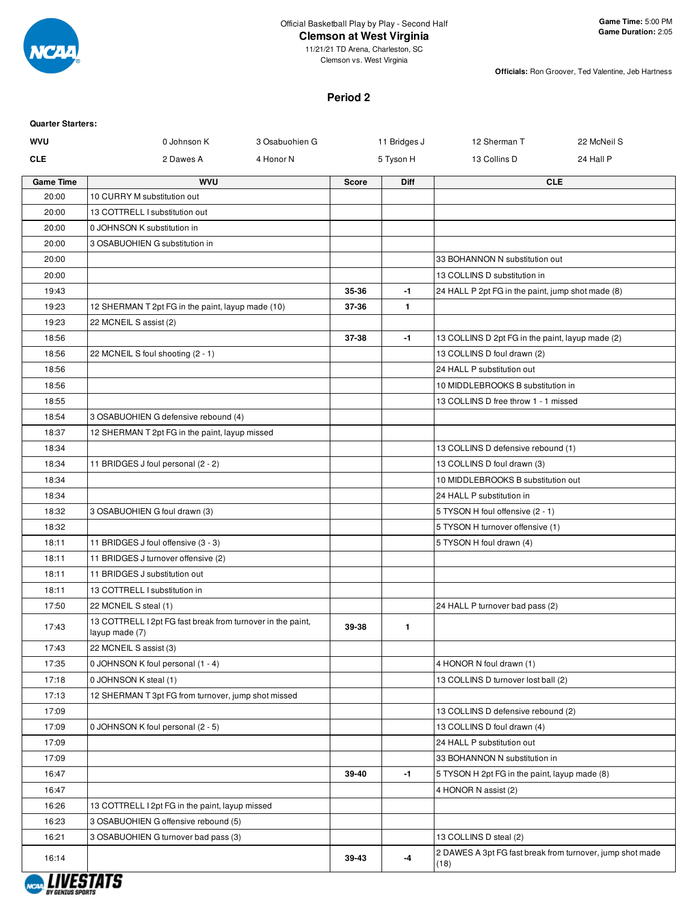

Clemson vs. West Virginia

**Officials:** Ron Groover, Ted Valentine, Jeb Hartness

# **Period 2**

| <b>Quarter Starters:</b> |                                                                                 |                |              |              |                                                           |             |
|--------------------------|---------------------------------------------------------------------------------|----------------|--------------|--------------|-----------------------------------------------------------|-------------|
| <b>WVU</b>               | 0 Johnson K                                                                     | 3 Osabuohien G |              | 11 Bridges J | 12 Sherman T                                              | 22 McNeil S |
| <b>CLE</b>               | 2 Dawes A                                                                       | 4 Honor N      |              | 5 Tyson H    | 13 Collins D                                              | 24 Hall P   |
| <b>Game Time</b>         | <b>WVU</b>                                                                      |                | <b>Score</b> | Diff         |                                                           | <b>CLE</b>  |
| 20:00                    | 10 CURRY M substitution out                                                     |                |              |              |                                                           |             |
| 20:00                    | 13 COTTRELL I substitution out                                                  |                |              |              |                                                           |             |
| 20:00                    | 0 JOHNSON K substitution in                                                     |                |              |              |                                                           |             |
| 20:00                    | 3 OSABUOHIEN G substitution in                                                  |                |              |              |                                                           |             |
| 20:00                    |                                                                                 |                |              |              | 33 BOHANNON N substitution out                            |             |
| 20:00                    |                                                                                 |                |              |              | 13 COLLINS D substitution in                              |             |
| 19:43                    |                                                                                 |                | 35-36        | $-1$         | 24 HALL P 2pt FG in the paint, jump shot made (8)         |             |
| 19:23                    | 12 SHERMAN T 2pt FG in the paint, layup made (10)                               |                | 37-36        | $\mathbf{1}$ |                                                           |             |
| 19:23                    | 22 MCNEIL S assist (2)                                                          |                |              |              |                                                           |             |
| 18:56                    |                                                                                 |                | 37-38        | $-1$         | 13 COLLINS D 2pt FG in the paint, layup made (2)          |             |
| 18:56                    | 22 MCNEIL S foul shooting (2 - 1)                                               |                |              |              | 13 COLLINS D foul drawn (2)                               |             |
| 18:56                    |                                                                                 |                |              |              | 24 HALL P substitution out                                |             |
| 18:56                    |                                                                                 |                |              |              | 10 MIDDLEBROOKS B substitution in                         |             |
| 18:55                    |                                                                                 |                |              |              | 13 COLLINS D free throw 1 - 1 missed                      |             |
| 18:54                    | 3 OSABUOHIEN G defensive rebound (4)                                            |                |              |              |                                                           |             |
| 18:37                    | 12 SHERMAN T 2pt FG in the paint, layup missed                                  |                |              |              |                                                           |             |
| 18:34                    |                                                                                 |                |              |              | 13 COLLINS D defensive rebound (1)                        |             |
| 18:34                    | 11 BRIDGES J foul personal (2 - 2)                                              |                |              |              | 13 COLLINS D foul drawn (3)                               |             |
| 18:34                    |                                                                                 |                |              |              | 10 MIDDLEBROOKS B substitution out                        |             |
| 18:34                    |                                                                                 |                |              |              | 24 HALL P substitution in                                 |             |
| 18:32                    | 3 OSABUOHIEN G foul drawn (3)                                                   |                |              |              | 5 TYSON H foul offensive (2 - 1)                          |             |
| 18:32                    |                                                                                 |                |              |              | 5 TYSON H turnover offensive (1)                          |             |
| 18:11                    | 11 BRIDGES J foul offensive (3 - 3)                                             |                |              |              | 5 TYSON H foul drawn (4)                                  |             |
| 18:11                    | 11 BRIDGES J turnover offensive (2)                                             |                |              |              |                                                           |             |
| 18:11                    | 11 BRIDGES J substitution out                                                   |                |              |              |                                                           |             |
| 18:11                    | 13 COTTRELL I substitution in                                                   |                |              |              |                                                           |             |
| 17:50                    | 22 MCNEIL S steal (1)                                                           |                |              |              | 24 HALL P turnover bad pass (2)                           |             |
| 17:43                    | 13 COTTRELL I 2pt FG fast break from turnover in the paint,<br>layup made $(7)$ |                | 39-38        | $\mathbf{1}$ |                                                           |             |
| 17:43                    | 22 MCNEIL S assist (3)                                                          |                |              |              |                                                           |             |
| 17:35                    | 0 JOHNSON K foul personal (1 - 4)                                               |                |              |              | 4 HONOR N foul drawn (1)                                  |             |
| 17:18                    | 0 JOHNSON K steal (1)                                                           |                |              |              | 13 COLLINS D turnover lost ball (2)                       |             |
| 17:13                    | 12 SHERMAN T 3pt FG from turnover, jump shot missed                             |                |              |              |                                                           |             |
| 17:09                    |                                                                                 |                |              |              | 13 COLLINS D defensive rebound (2)                        |             |
| 17:09                    | 0 JOHNSON K foul personal (2 - 5)                                               |                |              |              | 13 COLLINS D foul drawn (4)                               |             |
| 17:09                    |                                                                                 |                |              |              | 24 HALL P substitution out                                |             |
| 17:09                    |                                                                                 |                |              |              | 33 BOHANNON N substitution in                             |             |
| 16:47                    |                                                                                 |                | 39-40        | $-1$         | 5 TYSON H 2pt FG in the paint, layup made (8)             |             |
| 16:47                    |                                                                                 |                |              |              | 4 HONOR N assist (2)                                      |             |
| 16:26                    | 13 COTTRELL I 2pt FG in the paint, layup missed                                 |                |              |              |                                                           |             |
| 16:23                    | 3 OSABUOHIEN G offensive rebound (5)                                            |                |              |              |                                                           |             |
| 16:21                    | 3 OSABUOHIEN G turnover bad pass (3)                                            |                |              |              | 13 COLLINS D steal (2)                                    |             |
|                          |                                                                                 |                |              |              | 2 DAWES A 3pt FG fast break from turnover, jump shot made |             |
| 16:14                    |                                                                                 |                | 39-43        | $-4$         | (18)                                                      |             |

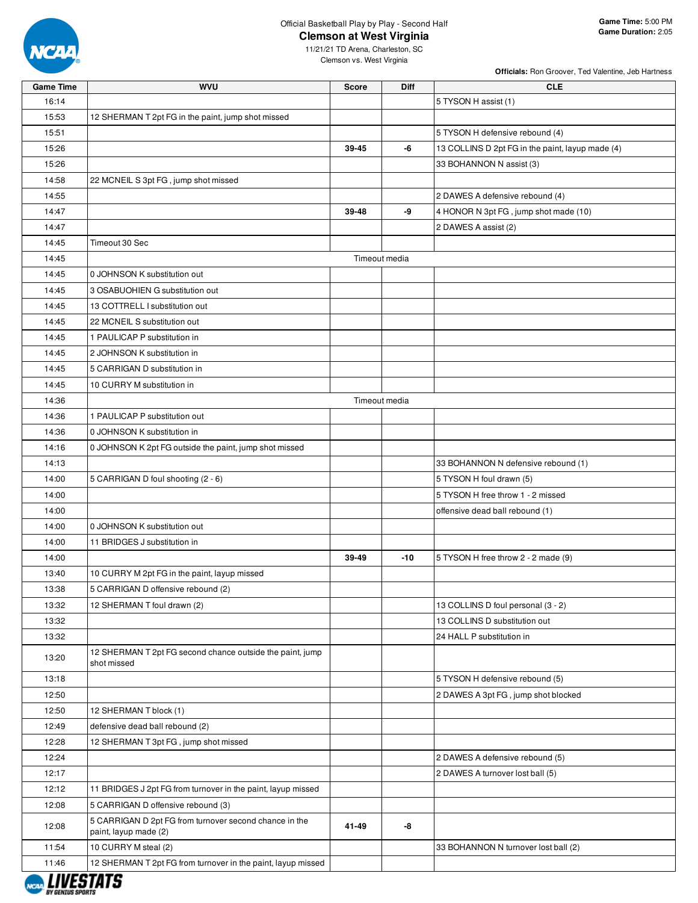

**Officials:** Ron Groover, Ted Valentine, Jeb Hartness

| <b>Game Time</b> | <b>WVU</b>                                                                      | <b>Score</b>  | <b>Diff</b>   | <b>CLE</b>                                       |
|------------------|---------------------------------------------------------------------------------|---------------|---------------|--------------------------------------------------|
| 16:14            |                                                                                 |               |               | 5 TYSON H assist (1)                             |
| 15:53            | 12 SHERMAN T 2pt FG in the paint, jump shot missed                              |               |               |                                                  |
| 15:51            |                                                                                 |               |               | 5 TYSON H defensive rebound (4)                  |
| 15:26            |                                                                                 | 39-45         | -6            | 13 COLLINS D 2pt FG in the paint, layup made (4) |
| 15:26            |                                                                                 |               |               | 33 BOHANNON N assist (3)                         |
| 14:58            | 22 MCNEIL S 3pt FG, jump shot missed                                            |               |               |                                                  |
| 14:55            |                                                                                 |               |               | 2 DAWES A defensive rebound (4)                  |
| 14:47            |                                                                                 | 39-48         | -9            | 4 HONOR N 3pt FG, jump shot made (10)            |
| 14:47            |                                                                                 |               |               | 2 DAWES A assist (2)                             |
| 14:45            | Timeout 30 Sec                                                                  |               |               |                                                  |
| 14:45            |                                                                                 |               | Timeout media |                                                  |
| 14:45            | 0 JOHNSON K substitution out                                                    |               |               |                                                  |
| 14:45            | 3 OSABUOHIEN G substitution out                                                 |               |               |                                                  |
| 14:45            | 13 COTTRELL I substitution out                                                  |               |               |                                                  |
| 14:45            | 22 MCNEIL S substitution out                                                    |               |               |                                                  |
| 14:45            | 1 PAULICAP P substitution in                                                    |               |               |                                                  |
| 14:45            | 2 JOHNSON K substitution in                                                     |               |               |                                                  |
| 14:45            | 5 CARRIGAN D substitution in                                                    |               |               |                                                  |
| 14:45            | 10 CURRY M substitution in                                                      |               |               |                                                  |
| 14:36            |                                                                                 | Timeout media |               |                                                  |
| 14:36            | 1 PAULICAP P substitution out                                                   |               |               |                                                  |
| 14:36            | 0 JOHNSON K substitution in                                                     |               |               |                                                  |
| 14:16            | 0 JOHNSON K 2pt FG outside the paint, jump shot missed                          |               |               |                                                  |
| 14:13            |                                                                                 |               |               | 33 BOHANNON N defensive rebound (1)              |
| 14:00            | 5 CARRIGAN D foul shooting (2 - 6)                                              |               |               | 5 TYSON H foul drawn (5)                         |
| 14:00            |                                                                                 |               |               | 5 TYSON H free throw 1 - 2 missed                |
| 14:00            |                                                                                 |               |               | offensive dead ball rebound (1)                  |
| 14:00            | 0 JOHNSON K substitution out                                                    |               |               |                                                  |
| 14:00            | 11 BRIDGES J substitution in                                                    |               |               |                                                  |
| 14:00            |                                                                                 | 39-49         | $-10$         | 5 TYSON H free throw 2 - 2 made (9)              |
| 13:40            | 10 CURRY M 2pt FG in the paint, layup missed                                    |               |               |                                                  |
| 13:38            | 5 CARRIGAN D offensive rebound (2)                                              |               |               |                                                  |
| 13:32            | 12 SHERMAN T foul drawn (2)                                                     |               |               | 13 COLLINS D foul personal (3 - 2)               |
| 13:32            |                                                                                 |               |               | 13 COLLINS D substitution out                    |
| 13:32            |                                                                                 |               |               | 24 HALL P substitution in                        |
| 13:20            | 12 SHERMAN T 2pt FG second chance outside the paint, jump<br>shot missed        |               |               |                                                  |
| 13:18            |                                                                                 |               |               | 5 TYSON H defensive rebound (5)                  |
| 12:50            |                                                                                 |               |               | 2 DAWES A 3pt FG, jump shot blocked              |
| 12:50            | 12 SHERMAN T block (1)                                                          |               |               |                                                  |
| 12:49            | defensive dead ball rebound (2)                                                 |               |               |                                                  |
| 12:28            | 12 SHERMAN T 3pt FG, jump shot missed                                           |               |               |                                                  |
| 12:24            |                                                                                 |               |               | 2 DAWES A defensive rebound (5)                  |
| 12:17            |                                                                                 |               |               | 2 DAWES A turnover lost ball (5)                 |
| 12:12            | 11 BRIDGES J 2pt FG from turnover in the paint, layup missed                    |               |               |                                                  |
| 12:08            | 5 CARRIGAN D offensive rebound (3)                                              |               |               |                                                  |
| 12:08            | 5 CARRIGAN D 2pt FG from turnover second chance in the<br>paint, layup made (2) | 41-49         | -8            |                                                  |
| 11:54            | 10 CURRY M steal (2)                                                            |               |               | 33 BOHANNON N turnover lost ball (2)             |
| 11:46            | 12 SHERMAN T 2pt FG from turnover in the paint, layup missed                    |               |               |                                                  |
|                  |                                                                                 |               |               |                                                  |

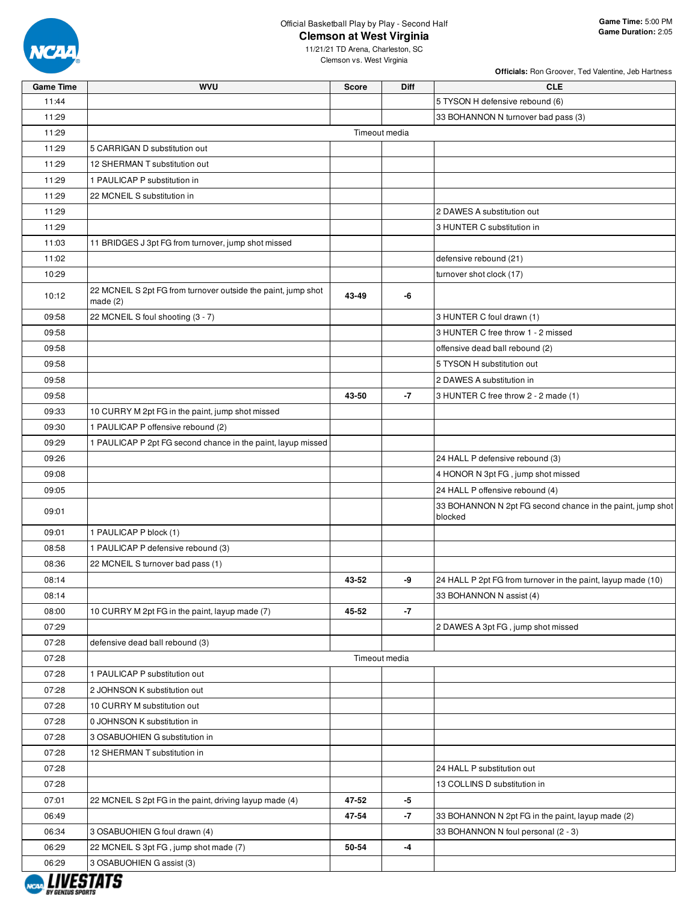

11/21/21 TD Arena, Charleston, SC Clemson vs. West Virginia

**Officials:** Ron Groover, Ted Valentine, Jeb Hartness

| <b>Game Time</b> | <b>WVU</b>                                                                  | <b>Score</b>  | Diff | <b>CLE</b>                                                            |
|------------------|-----------------------------------------------------------------------------|---------------|------|-----------------------------------------------------------------------|
| 11:44            |                                                                             |               |      | 5 TYSON H defensive rebound (6)                                       |
| 11:29            |                                                                             |               |      | 33 BOHANNON N turnover bad pass (3)                                   |
| 11:29            |                                                                             | Timeout media |      |                                                                       |
| 11:29            | 5 CARRIGAN D substitution out                                               |               |      |                                                                       |
| 11:29            | 12 SHERMAN T substitution out                                               |               |      |                                                                       |
| 11:29            | 1 PAULICAP P substitution in                                                |               |      |                                                                       |
| 11:29            | 22 MCNEIL S substitution in                                                 |               |      |                                                                       |
| 11:29            |                                                                             |               |      | 2 DAWES A substitution out                                            |
| 11:29            |                                                                             |               |      | 3 HUNTER C substitution in                                            |
| 11:03            | 11 BRIDGES J 3pt FG from turnover, jump shot missed                         |               |      |                                                                       |
| 11:02            |                                                                             |               |      | defensive rebound (21)                                                |
| 10:29            |                                                                             |               |      | turnover shot clock (17)                                              |
| 10:12            | 22 MCNEIL S 2pt FG from turnover outside the paint, jump shot<br>made $(2)$ | 43-49         | -6   |                                                                       |
| 09:58            | 22 MCNEIL S foul shooting (3 - 7)                                           |               |      | 3 HUNTER C foul drawn (1)                                             |
| 09:58            |                                                                             |               |      | 3 HUNTER C free throw 1 - 2 missed                                    |
| 09:58            |                                                                             |               |      | offensive dead ball rebound (2)                                       |
| 09:58            |                                                                             |               |      | 5 TYSON H substitution out                                            |
| 09:58            |                                                                             |               |      | 2 DAWES A substitution in                                             |
| 09:58            |                                                                             | 43-50         | $-7$ | 3 HUNTER C free throw 2 - 2 made (1)                                  |
| 09:33            | 10 CURRY M 2pt FG in the paint, jump shot missed                            |               |      |                                                                       |
| 09:30            | 1 PAULICAP P offensive rebound (2)                                          |               |      |                                                                       |
| 09:29            | 1 PAULICAP P 2pt FG second chance in the paint, layup missed                |               |      |                                                                       |
| 09:26            |                                                                             |               |      | 24 HALL P defensive rebound (3)                                       |
| 09:08            |                                                                             |               |      | 4 HONOR N 3pt FG, jump shot missed                                    |
| 09:05            |                                                                             |               |      | 24 HALL P offensive rebound (4)                                       |
| 09:01            |                                                                             |               |      | 33 BOHANNON N 2pt FG second chance in the paint, jump shot<br>blocked |
| 09:01            | 1 PAULICAP P block (1)                                                      |               |      |                                                                       |
| 08:58            | 1 PAULICAP P defensive rebound (3)                                          |               |      |                                                                       |
| 08:36            | 22 MCNEIL S turnover bad pass (1)                                           |               |      |                                                                       |
| 08:14            |                                                                             | 43-52         | -9   | 24 HALL P 2pt FG from turnover in the paint, layup made (10)          |
| 08:14            |                                                                             |               |      | 33 BOHANNON N assist (4)                                              |
| 08:00            | 10 CURRY M 2pt FG in the paint, layup made (7)                              | 45-52         | $-7$ |                                                                       |
| 07:29            |                                                                             |               |      | 2 DAWES A 3pt FG, jump shot missed                                    |
| 07:28            | defensive dead ball rebound (3)                                             |               |      |                                                                       |
| 07:28            |                                                                             | Timeout media |      |                                                                       |
| 07:28            | 1 PAULICAP P substitution out                                               |               |      |                                                                       |
| 07:28            | 2 JOHNSON K substitution out                                                |               |      |                                                                       |
| 07:28            | 10 CURRY M substitution out                                                 |               |      |                                                                       |
| 07:28            | 0 JOHNSON K substitution in                                                 |               |      |                                                                       |
| 07:28            | 3 OSABUOHIEN G substitution in                                              |               |      |                                                                       |
| 07:28            | 12 SHERMAN T substitution in                                                |               |      |                                                                       |
| 07:28            |                                                                             |               |      | 24 HALL P substitution out                                            |
| 07:28            |                                                                             |               |      | 13 COLLINS D substitution in                                          |
| 07:01            | 22 MCNEIL S 2pt FG in the paint, driving layup made (4)                     | 47-52         | $-5$ |                                                                       |
| 06:49            |                                                                             | 47-54         | $-7$ | 33 BOHANNON N 2pt FG in the paint, layup made (2)                     |
| 06:34            | 3 OSABUOHIEN G foul drawn (4)                                               |               |      | 33 BOHANNON N foul personal (2 - 3)                                   |
| 06:29            | 22 MCNEIL S 3pt FG, jump shot made (7)                                      | 50-54         | -4   |                                                                       |
| 06:29            | 3 OSABUOHIEN G assist (3)                                                   |               |      |                                                                       |
|                  | -----                                                                       |               |      |                                                                       |

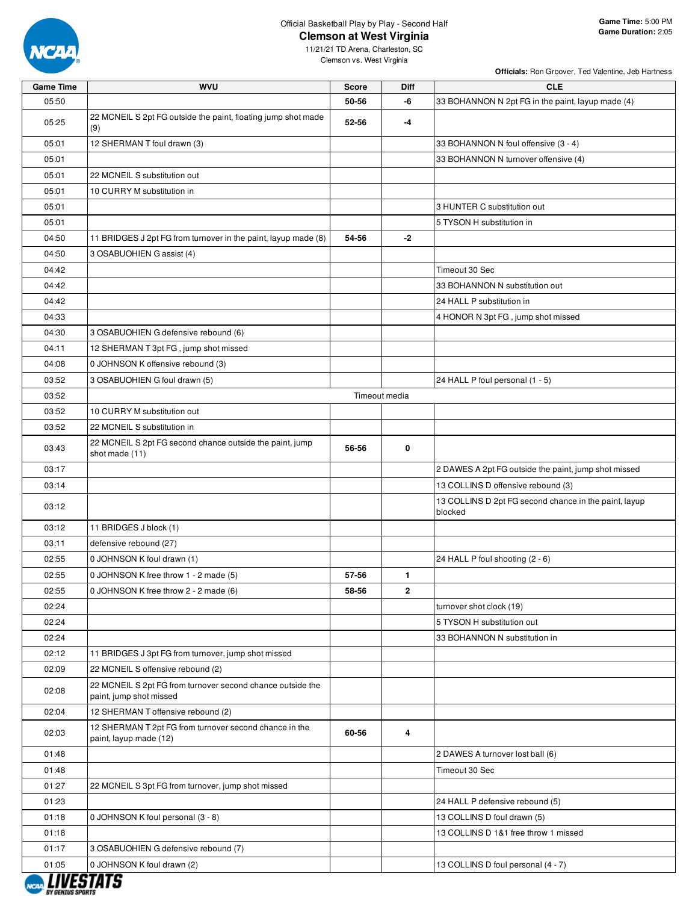

**Officials:** Ron Groover, Ted Valentine, Jeb Hartness

| <b>Game Time</b> | <b>WVU</b>                                                                            | <b>Score</b>  | Diff         | <b>CLE</b>                                                       |
|------------------|---------------------------------------------------------------------------------------|---------------|--------------|------------------------------------------------------------------|
| 05:50            |                                                                                       | 50-56         | -6           | 33 BOHANNON N 2pt FG in the paint, layup made (4)                |
| 05:25            | 22 MCNEIL S 2pt FG outside the paint, floating jump shot made<br>(9)                  | 52-56         | $-4$         |                                                                  |
| 05:01            | 12 SHERMAN T foul drawn (3)                                                           |               |              | 33 BOHANNON N foul offensive (3 - 4)                             |
| 05:01            |                                                                                       |               |              | 33 BOHANNON N turnover offensive (4)                             |
| 05:01            | 22 MCNEIL S substitution out                                                          |               |              |                                                                  |
| 05:01            | 10 CURRY M substitution in                                                            |               |              |                                                                  |
| 05:01            |                                                                                       |               |              | 3 HUNTER C substitution out                                      |
| 05:01            |                                                                                       |               |              | 5 TYSON H substitution in                                        |
| 04:50            | 11 BRIDGES J 2pt FG from turnover in the paint, layup made (8)                        | 54-56         | $-2$         |                                                                  |
| 04:50            | 3 OSABUOHIEN G assist (4)                                                             |               |              |                                                                  |
| 04:42            |                                                                                       |               |              | Timeout 30 Sec                                                   |
| 04:42            |                                                                                       |               |              | 33 BOHANNON N substitution out                                   |
| 04:42            |                                                                                       |               |              | 24 HALL P substitution in                                        |
| 04:33            |                                                                                       |               |              | 4 HONOR N 3pt FG, jump shot missed                               |
| 04:30            | 3 OSABUOHIEN G defensive rebound (6)                                                  |               |              |                                                                  |
| 04:11            | 12 SHERMAN T 3pt FG, jump shot missed                                                 |               |              |                                                                  |
| 04:08            | 0 JOHNSON K offensive rebound (3)                                                     |               |              |                                                                  |
| 03:52            | 3 OSABUOHIEN G foul drawn (5)                                                         |               |              | 24 HALL P foul personal (1 - 5)                                  |
| 03:52            |                                                                                       | Timeout media |              |                                                                  |
| 03:52            | 10 CURRY M substitution out                                                           |               |              |                                                                  |
| 03:52            | 22 MCNEIL S substitution in                                                           |               |              |                                                                  |
| 03:43            | 22 MCNEIL S 2pt FG second chance outside the paint, jump<br>shot made (11)            | 56-56         | 0            |                                                                  |
| 03:17            |                                                                                       |               |              | 2 DAWES A 2pt FG outside the paint, jump shot missed             |
| 03:14            |                                                                                       |               |              | 13 COLLINS D offensive rebound (3)                               |
| 03:12            |                                                                                       |               |              | 13 COLLINS D 2pt FG second chance in the paint, layup<br>blocked |
| 03:12            | 11 BRIDGES J block (1)                                                                |               |              |                                                                  |
| 03:11            | defensive rebound (27)                                                                |               |              |                                                                  |
| 02:55            | 0 JOHNSON K foul drawn (1)                                                            |               |              | 24 HALL P foul shooting (2 - 6)                                  |
| 02:55            | 0 JOHNSON K free throw 1 - 2 made (5)                                                 | 57-56         | 1            |                                                                  |
| 02:55            | 0 JOHNSON K free throw 2 - 2 made (6)                                                 | 58-56         | $\mathbf{2}$ |                                                                  |
| 02:24            |                                                                                       |               |              | turnover shot clock (19)                                         |
| 02:24            |                                                                                       |               |              | 5 TYSON H substitution out                                       |
| 02:24            |                                                                                       |               |              | 33 BOHANNON N substitution in                                    |
| 02:12            | 11 BRIDGES J 3pt FG from turnover, jump shot missed                                   |               |              |                                                                  |
| 02:09            | 22 MCNEIL S offensive rebound (2)                                                     |               |              |                                                                  |
| 02:08            | 22 MCNEIL S 2pt FG from turnover second chance outside the<br>paint, jump shot missed |               |              |                                                                  |
| 02:04            | 12 SHERMAN T offensive rebound (2)                                                    |               |              |                                                                  |
| 02:03            | 12 SHERMAN T 2pt FG from turnover second chance in the<br>paint, layup made (12)      | 60-56         | 4            |                                                                  |
| 01:48            |                                                                                       |               |              | 2 DAWES A turnover lost ball (6)                                 |
| 01:48            |                                                                                       |               |              | Timeout 30 Sec                                                   |
| 01:27            | 22 MCNEIL S 3pt FG from turnover, jump shot missed                                    |               |              |                                                                  |
| 01:23            |                                                                                       |               |              | 24 HALL P defensive rebound (5)                                  |
| 01:18            | 0 JOHNSON K foul personal (3 - 8)                                                     |               |              | 13 COLLINS D foul drawn (5)                                      |
| 01:18            |                                                                                       |               |              | 13 COLLINS D 1&1 free throw 1 missed                             |
| 01:17            | 3 OSABUOHIEN G defensive rebound (7)                                                  |               |              |                                                                  |
| 01:05            | 0 JOHNSON K foul drawn (2)                                                            |               |              | 13 COLLINS D foul personal (4 - 7)                               |

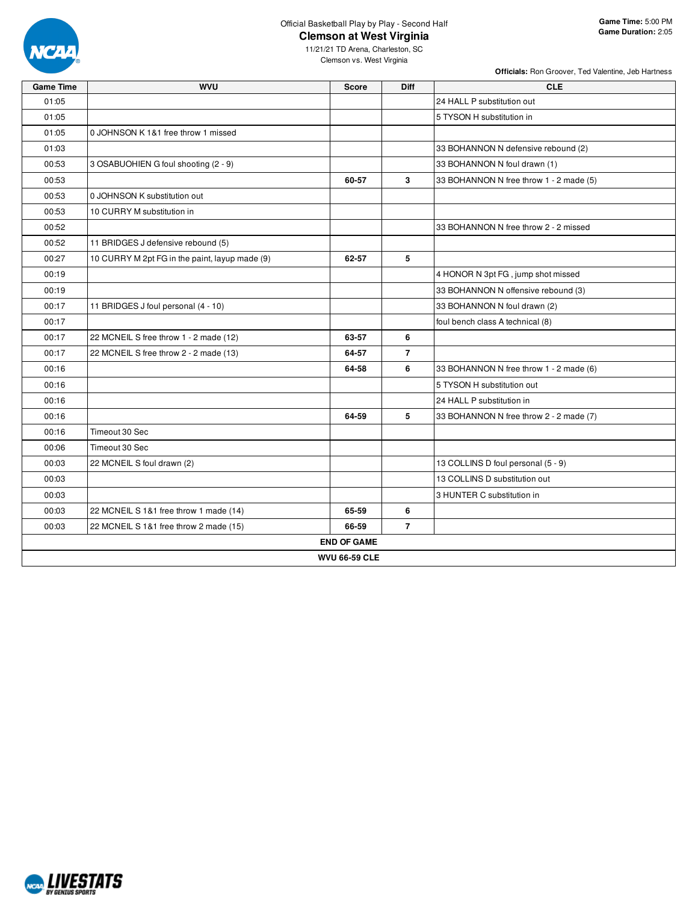

**Officials:** Ron Groover, Ted Valentine, Jeb Hartness

| <b>Game Time</b> | <b>WVU</b>                                     | <b>Score</b>         | <b>Diff</b>    | <b>CLE</b>                              |
|------------------|------------------------------------------------|----------------------|----------------|-----------------------------------------|
| 01:05            |                                                |                      |                | 24 HALL P substitution out              |
| 01:05            |                                                |                      |                | 5 TYSON H substitution in               |
| 01:05            | 0 JOHNSON K 1&1 free throw 1 missed            |                      |                |                                         |
| 01:03            |                                                |                      |                | 33 BOHANNON N defensive rebound (2)     |
| 00:53            | 3 OSABUOHIEN G foul shooting (2 - 9)           |                      |                | 33 BOHANNON N foul drawn (1)            |
| 00:53            |                                                | 60-57                | 3              | 33 BOHANNON N free throw 1 - 2 made (5) |
| 00:53            | 0 JOHNSON K substitution out                   |                      |                |                                         |
| 00:53            | 10 CURRY M substitution in                     |                      |                |                                         |
| 00:52            |                                                |                      |                | 33 BOHANNON N free throw 2 - 2 missed   |
| 00:52            | 11 BRIDGES J defensive rebound (5)             |                      |                |                                         |
| 00:27            | 10 CURRY M 2pt FG in the paint, layup made (9) | 62-57                | 5              |                                         |
| 00:19            |                                                |                      |                | 4 HONOR N 3pt FG, jump shot missed      |
| 00:19            |                                                |                      |                | 33 BOHANNON N offensive rebound (3)     |
| 00:17            | 11 BRIDGES J foul personal (4 - 10)            |                      |                | 33 BOHANNON N foul drawn (2)            |
| 00:17            |                                                |                      |                | foul bench class A technical (8)        |
| 00:17            | 22 MCNEIL S free throw 1 - 2 made (12)         | 63-57                | 6              |                                         |
| 00:17            | 22 MCNEIL S free throw 2 - 2 made (13)         | 64-57                | $\overline{7}$ |                                         |
| 00:16            |                                                | 64-58                | 6              | 33 BOHANNON N free throw 1 - 2 made (6) |
| 00:16            |                                                |                      |                | 5 TYSON H substitution out              |
| 00:16            |                                                |                      |                | 24 HALL P substitution in               |
| 00:16            |                                                | 64-59                | 5              | 33 BOHANNON N free throw 2 - 2 made (7) |
| 00:16            | Timeout 30 Sec                                 |                      |                |                                         |
| 00:06            | Timeout 30 Sec                                 |                      |                |                                         |
| 00:03            | 22 MCNEIL S foul drawn (2)                     |                      |                | 13 COLLINS D foul personal (5 - 9)      |
| 00:03            |                                                |                      |                | 13 COLLINS D substitution out           |
| 00:03            |                                                |                      |                | 3 HUNTER C substitution in              |
| 00:03            | 22 MCNEIL S 1&1 free throw 1 made (14)         | 65-59                | 6              |                                         |
| 00:03            | 22 MCNEIL S 1&1 free throw 2 made (15)         | 66-59                | $\overline{7}$ |                                         |
|                  |                                                | <b>END OF GAME</b>   |                |                                         |
|                  |                                                | <b>WVU 66-59 CLE</b> |                |                                         |

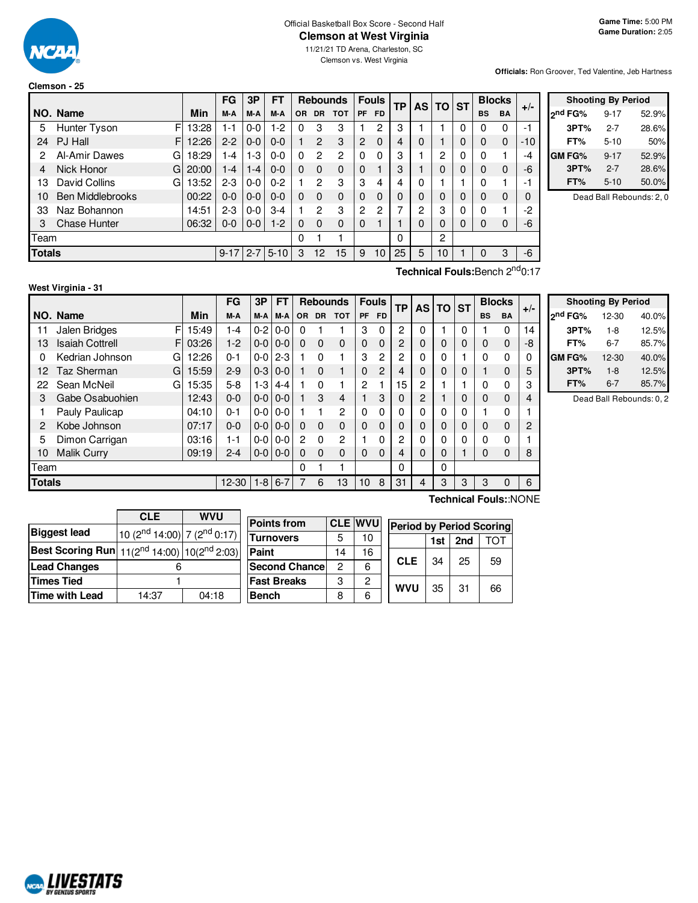

### Official Basketball Box Score - Second Half **Clemson at West Virginia**

11/21/21 TD Arena, Charleston, SC

Clemson vs. West Virginia

**Officials:** Ron Groover, Ted Valentine, Jeb Hartness

|               |                         |       | FG       | 3P      | FТ       |           |                | <b>Rebounds</b> |                | <b>Fouls</b> | ΤP       |   | AS TO ST |   |           | <b>Blocks</b> |       |
|---------------|-------------------------|-------|----------|---------|----------|-----------|----------------|-----------------|----------------|--------------|----------|---|----------|---|-----------|---------------|-------|
|               | NO. Name                | Min   | M-A      | M-A     | M-A      | <b>OR</b> | <b>DR</b>      | <b>TOT</b>      | <b>PF</b>      | FD.          |          |   |          |   | <b>BS</b> | <b>BA</b>     | $+/-$ |
| 5             | F<br>Hunter Tyson       | 13:28 | l - 1    | 0-0     | $1-2$    | 0         | 3              | 3               |                | 2            | 3        |   |          | 0 | $\Omega$  | 0             | $-1$  |
| 24            | PJ Hall<br>F            | 12:26 | $2 - 2$  | $0-0$   | $0 - 0$  |           | $\overline{2}$ | 3               | $\overline{c}$ | $\Omega$     | 4        | 0 |          | 0 | $\Omega$  | $\mathbf 0$   | $-10$ |
| 2             | Al-Amir Dawes<br>G      | 18:29 | l -4     | 1-3     | $0 - 0$  | $\Omega$  | 2              | 2               | $\Omega$       | 0            | 3        |   | 2        | 0 | 0         |               | -4    |
| 4             | Nick Honor<br>G         | 20:00 | 1-4      | $1 - 4$ | $0 - 0$  | $\Omega$  | $\Omega$       | $\Omega$        | $\Omega$       |              | 3        |   | 0        | 0 | $\Omega$  | 0             | -6    |
| 13            | David Collins<br>G      | 13:52 | $2 - 3$  | $0-0$   | $0 - 2$  |           | 2              | 3               | 3              | 4            | 4        | 0 |          |   | 0         |               | $-1$  |
| 10            | <b>Ben Middlebrooks</b> | 00:22 | $0 - 0$  | $0-0$   | $0 - 0$  | $\Omega$  | $\Omega$       | $\Omega$        | $\Omega$       | $\mathbf{0}$ | 0        | 0 | $\Omega$ | 0 | $\Omega$  | 0             |       |
| 33            | Naz Bohannon            | 14:51 | 2-3      | $0-0$   | 3-4      |           | 2              | 3               | 2              | 2            | 7        | っ | 3        | 0 | 0         |               | $-2$  |
| 3             | <b>Chase Hunter</b>     | 06:32 | $0 - 0$  | $0-0$   | $1-2$    | $\Omega$  | $\Omega$       | $\Omega$        | $\Omega$       |              |          | 0 | $\Omega$ | 0 | $\Omega$  | 0             | -6    |
| Team          |                         |       |          |         |          | 0         |                |                 |                |              | $\Omega$ |   | 2        |   |           |               |       |
| <b>Totals</b> |                         |       | $9 - 17$ | 2-7     | $5 - 10$ | 3         | 12             | 15              | 9              | 10           | 25       | 5 | 10       |   | 0         | 3             | $-6$  |

| <b>Shooting By Period</b> |          |       |  |  |  |  |  |  |  |  |
|---------------------------|----------|-------|--|--|--|--|--|--|--|--|
| <sub>2</sub> nd FG%       | $9 - 17$ | 52.9% |  |  |  |  |  |  |  |  |
| 3PT%                      | $2 - 7$  | 28.6% |  |  |  |  |  |  |  |  |
| FT%                       | $5 - 10$ | 50%   |  |  |  |  |  |  |  |  |
| <b>GM FG%</b>             | $9 - 17$ | 52.9% |  |  |  |  |  |  |  |  |
| 3PT%                      | $2 - 7$  | 28.6% |  |  |  |  |  |  |  |  |
| FT%                       | $5 - 10$ | 50.0% |  |  |  |  |  |  |  |  |

Dead Ball Rebounds: 2, 0

## **West Virginia - 31**

**Technical Fouls:**Bench 2<sup>nd</sup>0:17

|                       |                              |       | FG      | 3P      | FT      |           |           | <b>Rebounds</b> |           | <b>Fouls</b> | <b>TP</b> | <b>AS</b> | <b>TO</b> | <b>ST</b> | <b>Blocks</b> |             | $+/-$ |
|-----------------------|------------------------------|-------|---------|---------|---------|-----------|-----------|-----------------|-----------|--------------|-----------|-----------|-----------|-----------|---------------|-------------|-------|
|                       | NO. Name                     | Min   | M-A     | M-A     | M-A     | <b>OR</b> | <b>DR</b> | <b>TOT</b>      | <b>PF</b> | <b>FD</b>    |           |           |           |           | <b>BS</b>     | <b>BA</b>   |       |
| 11                    | F<br>Jalen Bridges           | 15:49 | 1-4     | $0-2$   | $0 - 0$ | 0         |           |                 | 3         | 0            | 2         | 0         |           | 0         |               | 0           | 14    |
| 13                    | <b>Isaiah Cottrell</b><br>F. | 03:26 | $1-2$   | $0-0$   | $0 - 0$ | $\Omega$  | $\Omega$  | $\Omega$        | 0         | 0            | 2         | 0         | 0         | 0         | 0             | $\mathbf 0$ | -8    |
| 0                     | Kedrian Johnson<br>G         | 12:26 | $0 - 1$ | $0-0$   | $2 - 3$ |           | $\Omega$  |                 | 3         | 2            | 2         | 0         | 0         |           | 0             | 0           |       |
| 12.                   | Taz Sherman<br>G             | 15:59 | $2-9$   | $0-3$   | $0 - 0$ |           | $\Omega$  |                 | 0         | 2            | 4         | 0         | 0         | 0         |               | $\mathbf 0$ | 5     |
| 22                    | Sean McNeil<br>G             | 15:35 | $5-8$   | $1-3$   | $4 - 4$ |           | $\Omega$  |                 | 2         |              | 15        | 2         |           |           | 0             | 0           | 3     |
| 3                     | Gabe Osabuohien              | 12:43 | $0 - 0$ | $0-0$   | $0 - 0$ |           | 3         | 4               |           | 3            | 0         | 2         |           | 0         | 0             | $\mathbf 0$ | 4     |
|                       | Pauly Paulicap               | 04:10 | $0 - 1$ | $0-0$   | $0 - 0$ |           |           | $\overline{c}$  | 0         | 0            | 0         | 0         | 0         | 0         |               | $\Omega$    |       |
| 2                     | Kobe Johnson                 | 07:17 | $0 - 0$ | $0-0$   | $0 - 0$ | $\Omega$  | $\Omega$  | $\Omega$        | 0         | 0            | 0         | 0         | 0         | 0         | 0             | $\mathbf 0$ | 2     |
| 5                     | Dimon Carrigan               | 03:16 | $1 - 1$ | $0-0$   | $0 - 0$ | 2         | $\Omega$  | $\overline{c}$  |           | 0            | 2         | 0         | 0         | 0         | 0             | 0           |       |
| 10                    | <b>Malik Curry</b>           | 09:19 | $2 - 4$ | $0-0$   | $0 - 0$ | $\Omega$  | $\Omega$  | $\Omega$        | 0         | 0            | 4         | $\Omega$  | 0         |           | 0             | $\mathbf 0$ | 8     |
| Team                  |                              |       |         |         |         | 0         |           |                 |           |              | 0         |           | 0         |           |               |             |       |
| <b>Totals</b>         |                              |       | 12-30   | $1 - 8$ | $6 - 7$ | 7         | 6         | 13              | 10        | 8            | 31        | 4         | 3         | 3         | 3             | 0           | 6     |
| Technical Fouls::NONE |                              |       |         |         |         |           |           |                 |           |              |           |           |           |           |               |             |       |

|                     | <b>Shooting By Period</b> |       |
|---------------------|---------------------------|-------|
| 2 <sup>nd</sup> FG% | 12-30                     | 40.0% |
| 3PT%                | $1-8$                     | 12.5% |
| FT%                 | 6-7                       | 85.7% |
| GM FG%              | $12 - 30$                 | 40.0% |
| 3PT%                | $1 - 8$                   | 12.5% |
| FT%                 | 6-7                       | 85.7% |

Dead Ball Rebounds: 0, 2

|                                                                  | <b>CLE</b>                                          | <b>WVU</b> |                       |                |                |                                 |     |     |     |
|------------------------------------------------------------------|-----------------------------------------------------|------------|-----------------------|----------------|----------------|---------------------------------|-----|-----|-----|
|                                                                  |                                                     |            | <b>Points from</b>    |                | <b>CLE WVU</b> | <b>Period by Period Scoring</b> |     |     |     |
| <b>Biggest lead</b>                                              | 10 (2 <sup>nd</sup> 14:00) 7 (2 <sup>nd</sup> 0:17) |            | <b>Turnovers</b>      | 5              | 10             |                                 | 1st | 2nd | וסד |
| <b>Best Scoring Run</b>   $11(2^{nd} 14:00)$   $10(2^{nd} 2:03)$ |                                                     |            | <b>Paint</b>          | 14             | 16             |                                 |     |     |     |
| <b>Lead Changes</b>                                              |                                                     |            | <b>Second Chancel</b> | $\overline{2}$ | 6              | <b>CLE</b>                      | 34  | 25  | 59  |
| <b>Times Tied</b>                                                |                                                     |            | <b>Fast Breaks</b>    | 3              | $\overline{c}$ | <b>WVU</b>                      | 35  | 31  | 66  |
| Time with Lead                                                   | 14:37                                               | 04:18      | <b>Bench</b>          | 8              | 6              |                                 |     |     |     |